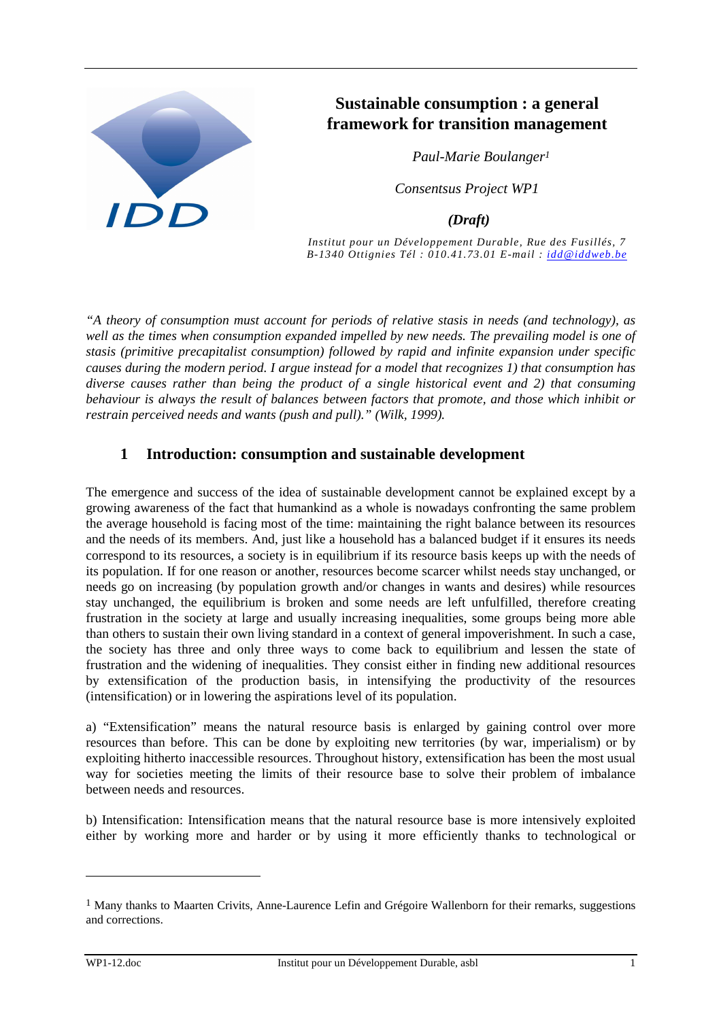

# **Sustainable consumption : a general framework for transition management**

 *Paul-Marie Boulanger<sup>1</sup>*

*Consentsus Project WP1* 

 *(Draft)* 

*Institut pour un Développement Durable, Rue des Fusillés, 7 B-1340 Ottignies Tél : 010.41.73.01 E-mail : idd@iddweb.be*

*"A theory of consumption must account for periods of relative stasis in needs (and technology), as well as the times when consumption expanded impelled by new needs. The prevailing model is one of stasis (primitive precapitalist consumption) followed by rapid and infinite expansion under specific causes during the modern period. I argue instead for a model that recognizes 1) that consumption has diverse causes rather than being the product of a single historical event and 2) that consuming behaviour is always the result of balances between factors that promote, and those which inhibit or restrain perceived needs and wants (push and pull)." (Wilk, 1999).* 

## **1 Introduction: consumption and sustainable development**

The emergence and success of the idea of sustainable development cannot be explained except by a growing awareness of the fact that humankind as a whole is nowadays confronting the same problem the average household is facing most of the time: maintaining the right balance between its resources and the needs of its members. And, just like a household has a balanced budget if it ensures its needs correspond to its resources, a society is in equilibrium if its resource basis keeps up with the needs of its population. If for one reason or another, resources become scarcer whilst needs stay unchanged, or needs go on increasing (by population growth and/or changes in wants and desires) while resources stay unchanged, the equilibrium is broken and some needs are left unfulfilled, therefore creating frustration in the society at large and usually increasing inequalities, some groups being more able than others to sustain their own living standard in a context of general impoverishment. In such a case, the society has three and only three ways to come back to equilibrium and lessen the state of frustration and the widening of inequalities. They consist either in finding new additional resources by extensification of the production basis, in intensifying the productivity of the resources (intensification) or in lowering the aspirations level of its population.

a) "Extensification" means the natural resource basis is enlarged by gaining control over more resources than before. This can be done by exploiting new territories (by war, imperialism) or by exploiting hitherto inaccessible resources. Throughout history, extensification has been the most usual way for societies meeting the limits of their resource base to solve their problem of imbalance between needs and resources.

b) Intensification: Intensification means that the natural resource base is more intensively exploited either by working more and harder or by using it more efficiently thanks to technological or

<sup>&</sup>lt;sup>1</sup> Many thanks to Maarten Crivits, Anne-Laurence Lefin and Grégoire Wallenborn for their remarks, suggestions and corrections.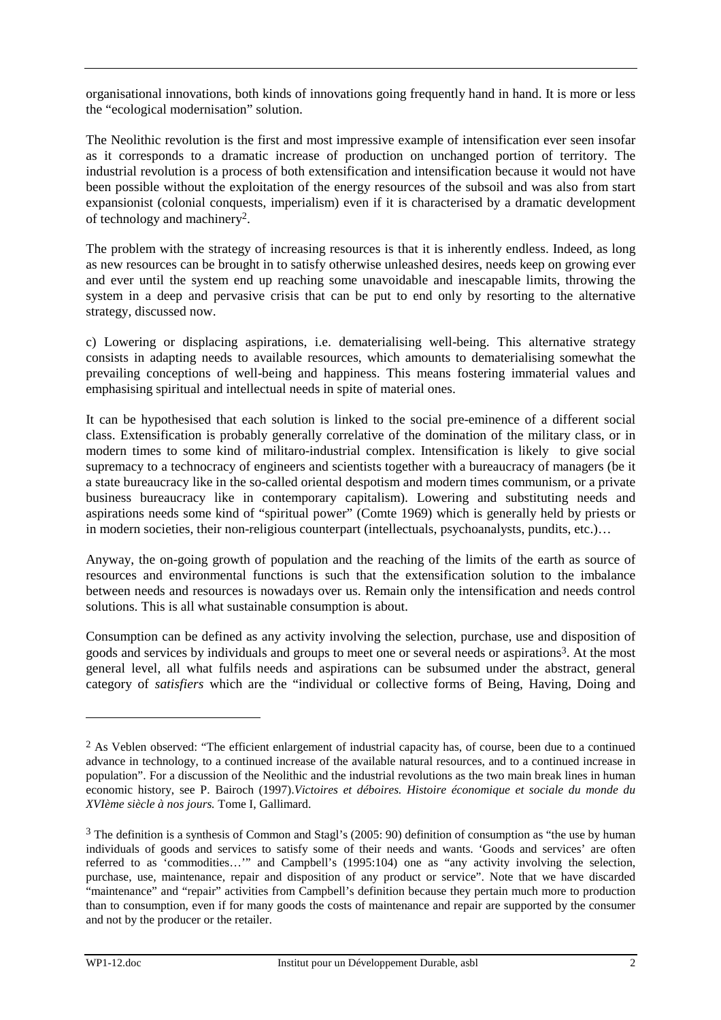organisational innovations, both kinds of innovations going frequently hand in hand. It is more or less the "ecological modernisation" solution.

The Neolithic revolution is the first and most impressive example of intensification ever seen insofar as it corresponds to a dramatic increase of production on unchanged portion of territory. The industrial revolution is a process of both extensification and intensification because it would not have been possible without the exploitation of the energy resources of the subsoil and was also from start expansionist (colonial conquests, imperialism) even if it is characterised by a dramatic development of technology and machinery2.

The problem with the strategy of increasing resources is that it is inherently endless. Indeed, as long as new resources can be brought in to satisfy otherwise unleashed desires, needs keep on growing ever and ever until the system end up reaching some unavoidable and inescapable limits, throwing the system in a deep and pervasive crisis that can be put to end only by resorting to the alternative strategy, discussed now.

c) Lowering or displacing aspirations, i.e. dematerialising well-being. This alternative strategy consists in adapting needs to available resources, which amounts to dematerialising somewhat the prevailing conceptions of well-being and happiness. This means fostering immaterial values and emphasising spiritual and intellectual needs in spite of material ones.

It can be hypothesised that each solution is linked to the social pre-eminence of a different social class. Extensification is probably generally correlative of the domination of the military class, or in modern times to some kind of militaro-industrial complex. Intensification is likely to give social supremacy to a technocracy of engineers and scientists together with a bureaucracy of managers (be it a state bureaucracy like in the so-called oriental despotism and modern times communism, or a private business bureaucracy like in contemporary capitalism). Lowering and substituting needs and aspirations needs some kind of "spiritual power" (Comte 1969) which is generally held by priests or in modern societies, their non-religious counterpart (intellectuals, psychoanalysts, pundits, etc.)…

Anyway, the on-going growth of population and the reaching of the limits of the earth as source of resources and environmental functions is such that the extensification solution to the imbalance between needs and resources is nowadays over us. Remain only the intensification and needs control solutions. This is all what sustainable consumption is about.

Consumption can be defined as any activity involving the selection, purchase, use and disposition of goods and services by individuals and groups to meet one or several needs or aspirations3. At the most general level, all what fulfils needs and aspirations can be subsumed under the abstract, general category of *satisfiers* which are the "individual or collective forms of Being, Having, Doing and

<sup>&</sup>lt;sup>2</sup> As Veblen observed: "The efficient enlargement of industrial capacity has, of course, been due to a continued advance in technology, to a continued increase of the available natural resources, and to a continued increase in population". For a discussion of the Neolithic and the industrial revolutions as the two main break lines in human economic history, see P. Bairoch (1997).*Victoires et déboires. Histoire économique et sociale du monde du XVIème siècle à nos jours.* Tome I, Gallimard.

<sup>3</sup> The definition is a synthesis of Common and Stagl's (2005: 90) definition of consumption as "the use by human individuals of goods and services to satisfy some of their needs and wants. 'Goods and services' are often referred to as 'commodities…'" and Campbell's (1995:104) one as "any activity involving the selection, purchase, use, maintenance, repair and disposition of any product or service". Note that we have discarded "maintenance" and "repair" activities from Campbell's definition because they pertain much more to production than to consumption, even if for many goods the costs of maintenance and repair are supported by the consumer and not by the producer or the retailer.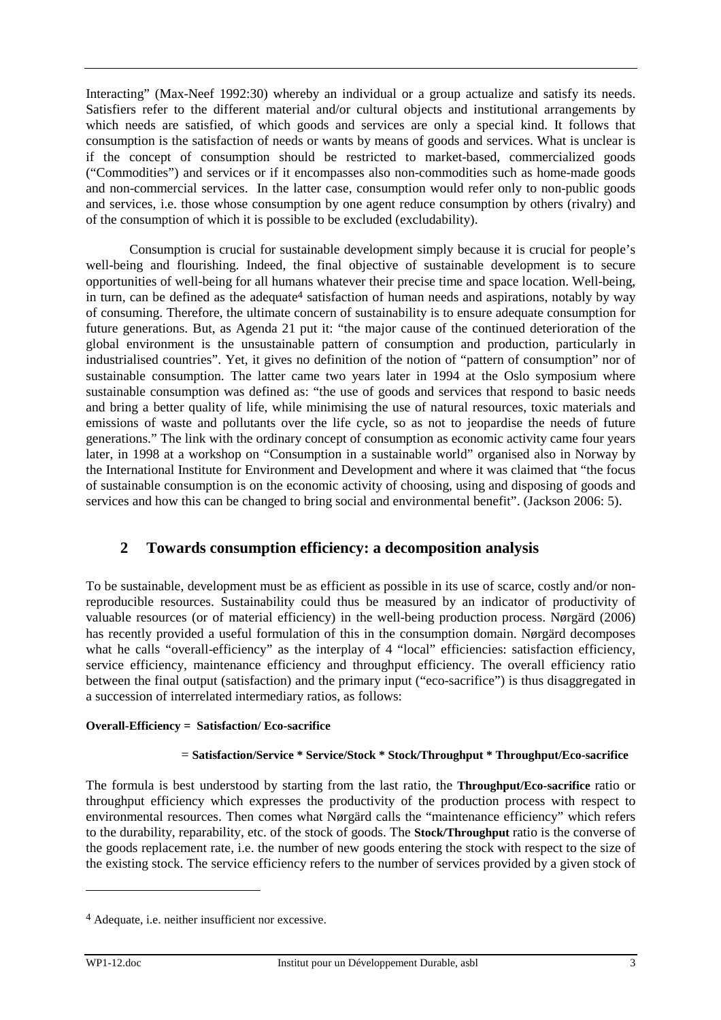Interacting" (Max-Neef 1992:30) whereby an individual or a group actualize and satisfy its needs. Satisfiers refer to the different material and/or cultural objects and institutional arrangements by which needs are satisfied, of which goods and services are only a special kind. It follows that consumption is the satisfaction of needs or wants by means of goods and services. What is unclear is if the concept of consumption should be restricted to market-based, commercialized goods ("Commodities") and services or if it encompasses also non-commodities such as home-made goods and non-commercial services. In the latter case, consumption would refer only to non-public goods and services, i.e. those whose consumption by one agent reduce consumption by others (rivalry) and of the consumption of which it is possible to be excluded (excludability).

Consumption is crucial for sustainable development simply because it is crucial for people's well-being and flourishing. Indeed, the final objective of sustainable development is to secure opportunities of well-being for all humans whatever their precise time and space location. Well-being, in turn, can be defined as the adequate<sup>4</sup> satisfaction of human needs and aspirations, notably by way of consuming. Therefore, the ultimate concern of sustainability is to ensure adequate consumption for future generations. But, as Agenda 21 put it: "the major cause of the continued deterioration of the global environment is the unsustainable pattern of consumption and production, particularly in industrialised countries". Yet, it gives no definition of the notion of "pattern of consumption" nor of sustainable consumption. The latter came two years later in 1994 at the Oslo symposium where sustainable consumption was defined as: "the use of goods and services that respond to basic needs and bring a better quality of life, while minimising the use of natural resources, toxic materials and emissions of waste and pollutants over the life cycle, so as not to jeopardise the needs of future generations." The link with the ordinary concept of consumption as economic activity came four years later, in 1998 at a workshop on "Consumption in a sustainable world" organised also in Norway by the International Institute for Environment and Development and where it was claimed that "the focus of sustainable consumption is on the economic activity of choosing, using and disposing of goods and services and how this can be changed to bring social and environmental benefit". (Jackson 2006: 5).

## **2 Towards consumption efficiency: a decomposition analysis**

To be sustainable, development must be as efficient as possible in its use of scarce, costly and/or nonreproducible resources. Sustainability could thus be measured by an indicator of productivity of valuable resources (or of material efficiency) in the well-being production process. Nørgärd (2006) has recently provided a useful formulation of this in the consumption domain. Nørgärd decomposes what he calls "overall-efficiency" as the interplay of 4 "local" efficiencies: satisfaction efficiency, service efficiency, maintenance efficiency and throughput efficiency. The overall efficiency ratio between the final output (satisfaction) and the primary input ("eco-sacrifice") is thus disaggregated in a succession of interrelated intermediary ratios, as follows:

### **Overall-Efficiency = Satisfaction/ Eco-sacrifice**

### = **Satisfaction/Service \* Service/Stock \* Stock/Throughput \* Throughput/Eco-sacrifice**

The formula is best understood by starting from the last ratio, the **Throughput/Eco-sacrifice** ratio or throughput efficiency which expresses the productivity of the production process with respect to environmental resources. Then comes what Nørgärd calls the "maintenance efficiency" which refers to the durability, reparability, etc. of the stock of goods. The **Stock/Throughput** ratio is the converse of the goods replacement rate, i.e. the number of new goods entering the stock with respect to the size of the existing stock. The service efficiency refers to the number of services provided by a given stock of

<sup>4</sup> Adequate, i.e. neither insufficient nor excessive.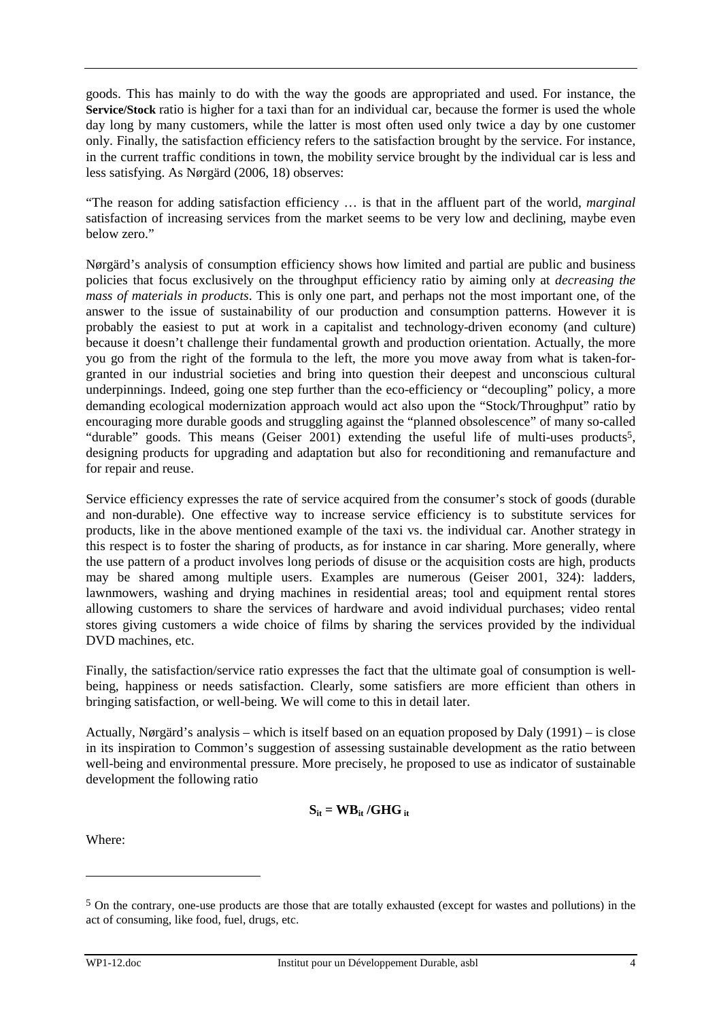goods. This has mainly to do with the way the goods are appropriated and used. For instance, the **Service/Stock** ratio is higher for a taxi than for an individual car, because the former is used the whole day long by many customers, while the latter is most often used only twice a day by one customer only. Finally, the satisfaction efficiency refers to the satisfaction brought by the service. For instance, in the current traffic conditions in town, the mobility service brought by the individual car is less and less satisfying. As Nørgärd (2006, 18) observes:

"The reason for adding satisfaction efficiency … is that in the affluent part of the world, *marginal*  satisfaction of increasing services from the market seems to be very low and declining, maybe even below zero."

Nørgärd's analysis of consumption efficiency shows how limited and partial are public and business policies that focus exclusively on the throughput efficiency ratio by aiming only at *decreasing the mass of materials in products*. This is only one part, and perhaps not the most important one, of the answer to the issue of sustainability of our production and consumption patterns. However it is probably the easiest to put at work in a capitalist and technology-driven economy (and culture) because it doesn't challenge their fundamental growth and production orientation. Actually, the more you go from the right of the formula to the left, the more you move away from what is taken-forgranted in our industrial societies and bring into question their deepest and unconscious cultural underpinnings. Indeed, going one step further than the eco-efficiency or "decoupling" policy, a more demanding ecological modernization approach would act also upon the "Stock/Throughput" ratio by encouraging more durable goods and struggling against the "planned obsolescence" of many so-called "durable" goods. This means (Geiser 2001) extending the useful life of multi-uses products<sup>5</sup>, designing products for upgrading and adaptation but also for reconditioning and remanufacture and for repair and reuse.

Service efficiency expresses the rate of service acquired from the consumer's stock of goods (durable and non-durable). One effective way to increase service efficiency is to substitute services for products, like in the above mentioned example of the taxi vs. the individual car. Another strategy in this respect is to foster the sharing of products, as for instance in car sharing. More generally, where the use pattern of a product involves long periods of disuse or the acquisition costs are high, products may be shared among multiple users. Examples are numerous (Geiser 2001, 324): ladders, lawnmowers, washing and drying machines in residential areas; tool and equipment rental stores allowing customers to share the services of hardware and avoid individual purchases; video rental stores giving customers a wide choice of films by sharing the services provided by the individual DVD machines, etc.

Finally, the satisfaction/service ratio expresses the fact that the ultimate goal of consumption is wellbeing, happiness or needs satisfaction. Clearly, some satisfiers are more efficient than others in bringing satisfaction, or well-being. We will come to this in detail later.

Actually, Nørgärd's analysis – which is itself based on an equation proposed by Daly (1991) – is close in its inspiration to Common's suggestion of assessing sustainable development as the ratio between well-being and environmental pressure. More precisely, he proposed to use as indicator of sustainable development the following ratio

$$
S_{it} = WB_{it}/GHG_{it}
$$

Where:

<sup>5</sup> On the contrary, one-use products are those that are totally exhausted (except for wastes and pollutions) in the act of consuming, like food, fuel, drugs, etc.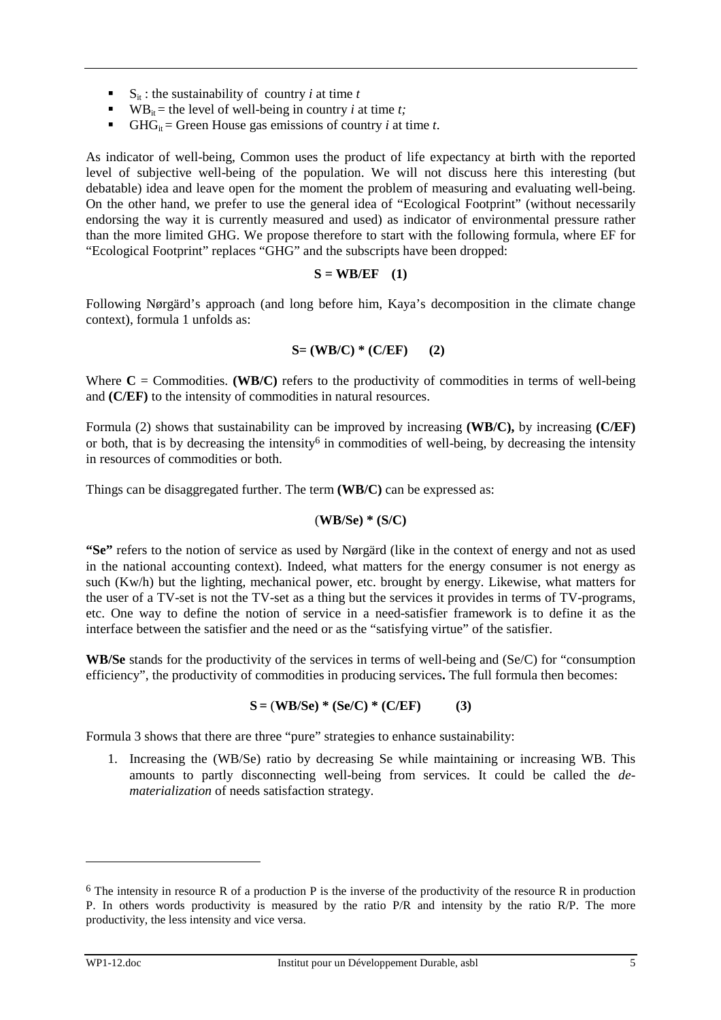- $\bullet$  S<sub>it</sub> : the sustainability of country *i* at time *t*
- WB<sub>it</sub> = the level of well-being in country *i* at time *t*;
- **GHG**<sub>it</sub> = Green House gas emissions of country *i* at time *t*.

As indicator of well-being, Common uses the product of life expectancy at birth with the reported level of subjective well-being of the population. We will not discuss here this interesting (but debatable) idea and leave open for the moment the problem of measuring and evaluating well-being. On the other hand, we prefer to use the general idea of "Ecological Footprint" (without necessarily endorsing the way it is currently measured and used) as indicator of environmental pressure rather than the more limited GHG. We propose therefore to start with the following formula, where EF for "Ecological Footprint" replaces "GHG" and the subscripts have been dropped:

#### $S = WB/EF$  (1)

Following Nørgärd's approach (and long before him, Kaya's decomposition in the climate change context), formula 1 unfolds as:

$$
S = (WB/C) * (C/EF) \qquad (2)
$$

Where  $C =$  Commodities. **(WB/C)** refers to the productivity of commodities in terms of well-being and **(C/EF)** to the intensity of commodities in natural resources.

Formula (2) shows that sustainability can be improved by increasing **(WB/C),** by increasing **(C/EF)** or both, that is by decreasing the intensity<sup>6</sup> in commodities of well-being, by decreasing the intensity in resources of commodities or both.

Things can be disaggregated further. The term **(WB/C)** can be expressed as:

### (**WB/Se) \* (S/C)**

**"Se"** refers to the notion of service as used by Nørgärd (like in the context of energy and not as used in the national accounting context). Indeed, what matters for the energy consumer is not energy as such (Kw/h) but the lighting, mechanical power, etc. brought by energy. Likewise, what matters for the user of a TV-set is not the TV-set as a thing but the services it provides in terms of TV-programs, etc. One way to define the notion of service in a need-satisfier framework is to define it as the interface between the satisfier and the need or as the "satisfying virtue" of the satisfier.

**WB/Se** stands for the productivity of the services in terms of well-being and (Se/C) for "consumption efficiency", the productivity of commodities in producing services**.** The full formula then becomes:

$$
S = (WB/Se) * (Se/C) * (C/EF)
$$
 (3)

Formula 3 shows that there are three "pure" strategies to enhance sustainability:

1. Increasing the (WB/Se) ratio by decreasing Se while maintaining or increasing WB. This amounts to partly disconnecting well-being from services. It could be called the *dematerialization* of needs satisfaction strategy.

 $6$  The intensity in resource R of a production P is the inverse of the productivity of the resource R in production P. In others words productivity is measured by the ratio P/R and intensity by the ratio R/P. The more productivity, the less intensity and vice versa.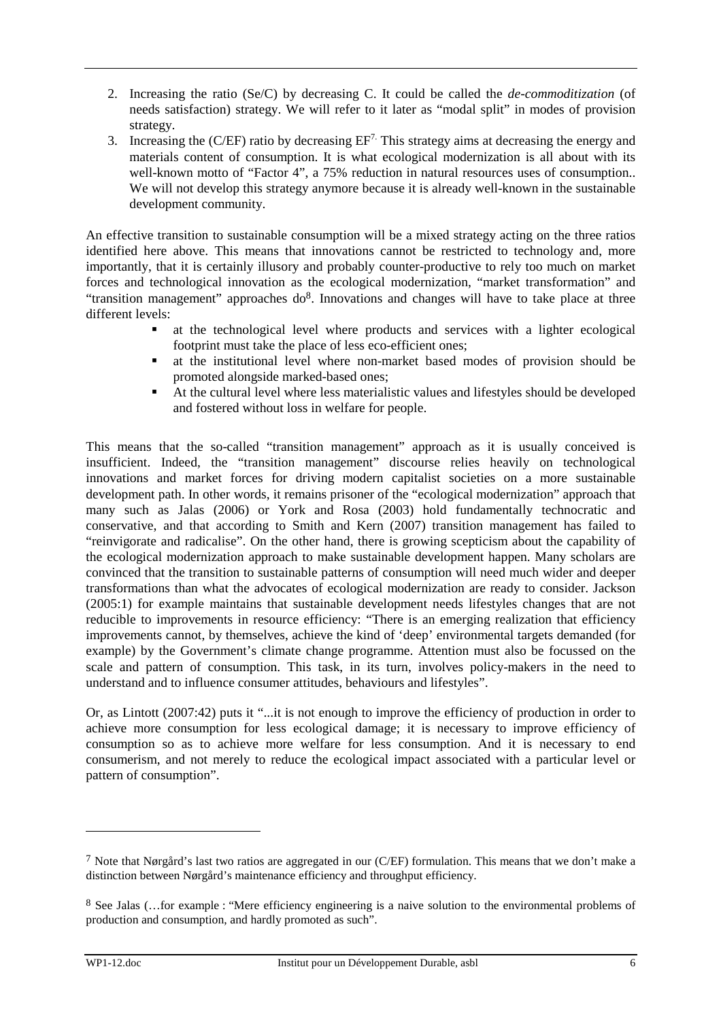- 2. Increasing the ratio (Se/C) by decreasing C. It could be called the *de-commoditization* (of needs satisfaction) strategy. We will refer to it later as "modal split" in modes of provision strategy.
- 3. Increasing the (C/EF) ratio by decreasing  $EF<sup>7</sup>$ . This strategy aims at decreasing the energy and materials content of consumption. It is what ecological modernization is all about with its well-known motto of "Factor 4", a 75% reduction in natural resources uses of consumption.. We will not develop this strategy anymore because it is already well-known in the sustainable development community.

An effective transition to sustainable consumption will be a mixed strategy acting on the three ratios identified here above. This means that innovations cannot be restricted to technology and, more importantly, that it is certainly illusory and probably counter-productive to rely too much on market forces and technological innovation as the ecological modernization, "market transformation" and "transition management" approaches do<sup>8</sup>. Innovations and changes will have to take place at three different levels:

- at the technological level where products and services with a lighter ecological footprint must take the place of less eco-efficient ones;
- at the institutional level where non-market based modes of provision should be promoted alongside marked-based ones;
- At the cultural level where less materialistic values and lifestyles should be developed and fostered without loss in welfare for people.

This means that the so-called "transition management" approach as it is usually conceived is insufficient. Indeed, the "transition management" discourse relies heavily on technological innovations and market forces for driving modern capitalist societies on a more sustainable development path. In other words, it remains prisoner of the "ecological modernization" approach that many such as Jalas (2006) or York and Rosa (2003) hold fundamentally technocratic and conservative, and that according to Smith and Kern (2007) transition management has failed to "reinvigorate and radicalise". On the other hand, there is growing scepticism about the capability of the ecological modernization approach to make sustainable development happen. Many scholars are convinced that the transition to sustainable patterns of consumption will need much wider and deeper transformations than what the advocates of ecological modernization are ready to consider. Jackson (2005:1) for example maintains that sustainable development needs lifestyles changes that are not reducible to improvements in resource efficiency: "There is an emerging realization that efficiency improvements cannot, by themselves, achieve the kind of 'deep' environmental targets demanded (for example) by the Government's climate change programme. Attention must also be focussed on the scale and pattern of consumption. This task, in its turn, involves policy-makers in the need to understand and to influence consumer attitudes, behaviours and lifestyles".

Or, as Lintott (2007:42) puts it "...it is not enough to improve the efficiency of production in order to achieve more consumption for less ecological damage; it is necessary to improve efficiency of consumption so as to achieve more welfare for less consumption. And it is necessary to end consumerism, and not merely to reduce the ecological impact associated with a particular level or pattern of consumption".

<sup>7</sup> Note that Nørgård's last two ratios are aggregated in our (C/EF) formulation. This means that we don't make a distinction between Nørgård's maintenance efficiency and throughput efficiency.

<sup>8</sup> See Jalas (…for example : "Mere efficiency engineering is a naive solution to the environmental problems of production and consumption, and hardly promoted as such".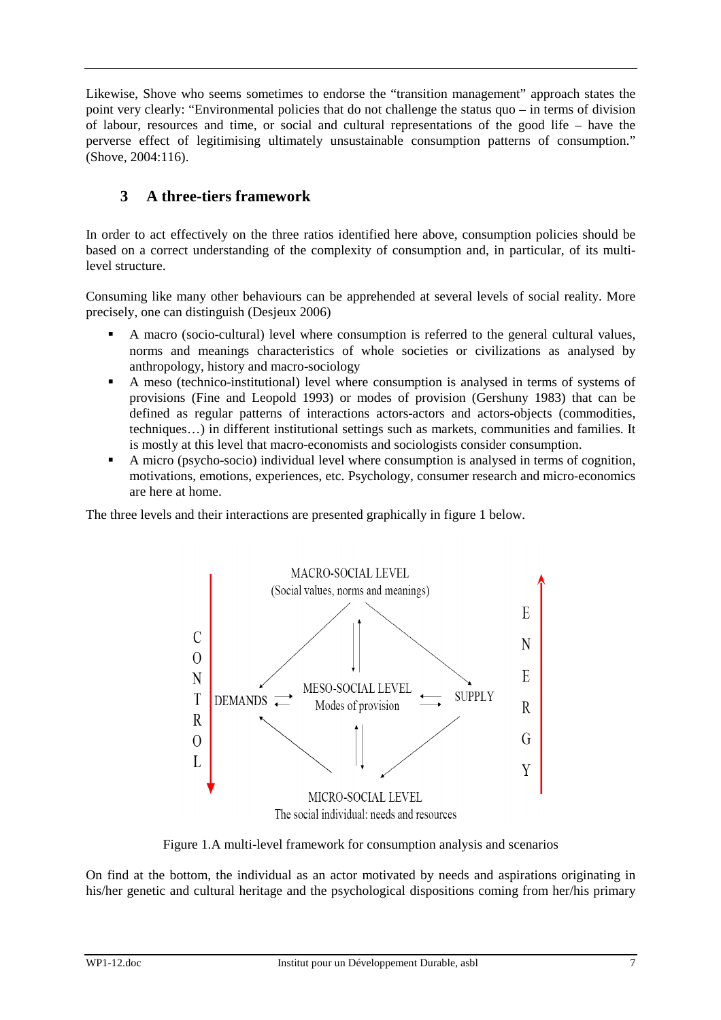Likewise, Shove who seems sometimes to endorse the "transition management" approach states the point very clearly: "Environmental policies that do not challenge the status quo – in terms of division of labour, resources and time, or social and cultural representations of the good life – have the perverse effect of legitimising ultimately unsustainable consumption patterns of consumption." (Shove, 2004:116).

## **3 A three-tiers framework**

In order to act effectively on the three ratios identified here above, consumption policies should be based on a correct understanding of the complexity of consumption and, in particular, of its multilevel structure.

Consuming like many other behaviours can be apprehended at several levels of social reality. More precisely, one can distinguish (Desjeux 2006)

- A macro (socio-cultural) level where consumption is referred to the general cultural values, norms and meanings characteristics of whole societies or civilizations as analysed by anthropology, history and macro-sociology
- A meso (technico-institutional) level where consumption is analysed in terms of systems of provisions (Fine and Leopold 1993) or modes of provision (Gershuny 1983) that can be defined as regular patterns of interactions actors-actors and actors-objects (commodities, techniques…) in different institutional settings such as markets, communities and families. It is mostly at this level that macro-economists and sociologists consider consumption.
- A micro (psycho-socio) individual level where consumption is analysed in terms of cognition, motivations, emotions, experiences, etc. Psychology, consumer research and micro-economics are here at home.

The three levels and their interactions are presented graphically in figure 1 below.



Figure 1.A multi-level framework for consumption analysis and scenarios

On find at the bottom, the individual as an actor motivated by needs and aspirations originating in his/her genetic and cultural heritage and the psychological dispositions coming from her/his primary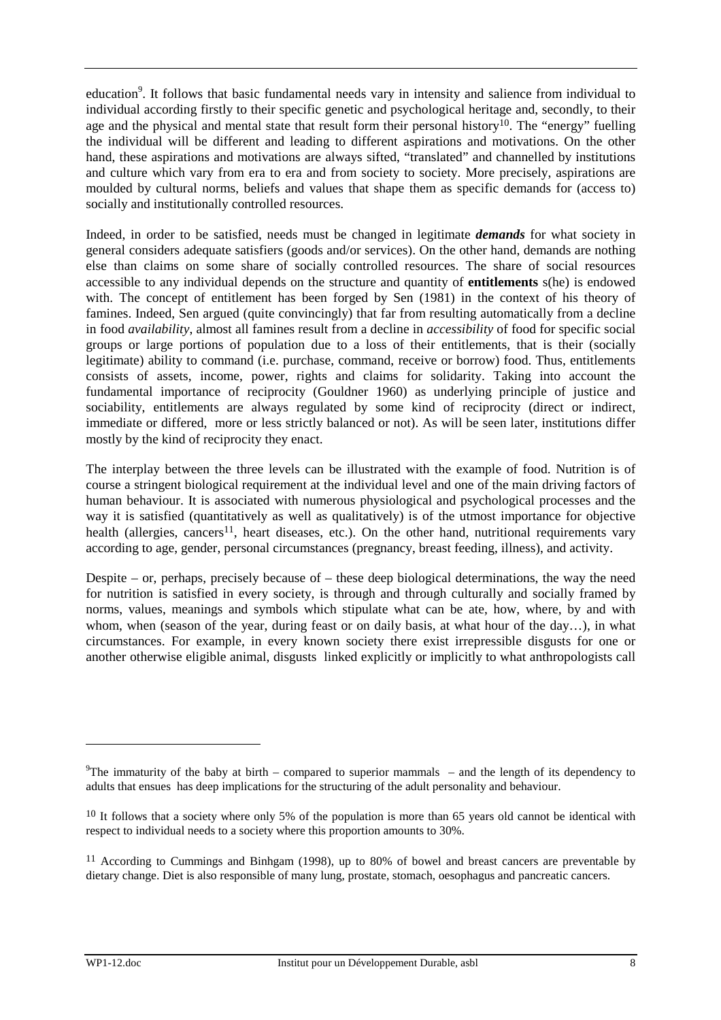education<sup>9</sup>. It follows that basic fundamental needs vary in intensity and salience from individual to individual according firstly to their specific genetic and psychological heritage and, secondly, to their age and the physical and mental state that result form their personal history<sup>10</sup>. The "energy" fuelling the individual will be different and leading to different aspirations and motivations. On the other hand, these aspirations and motivations are always sifted, "translated" and channelled by institutions and culture which vary from era to era and from society to society. More precisely, aspirations are moulded by cultural norms, beliefs and values that shape them as specific demands for (access to) socially and institutionally controlled resources.

Indeed, in order to be satisfied, needs must be changed in legitimate *demands* for what society in general considers adequate satisfiers (goods and/or services). On the other hand, demands are nothing else than claims on some share of socially controlled resources. The share of social resources accessible to any individual depends on the structure and quantity of **entitlements** s(he) is endowed with. The concept of entitlement has been forged by Sen (1981) in the context of his theory of famines. Indeed, Sen argued (quite convincingly) that far from resulting automatically from a decline in food *availability*, almost all famines result from a decline in *accessibility* of food for specific social groups or large portions of population due to a loss of their entitlements, that is their (socially legitimate) ability to command (i.e. purchase, command, receive or borrow) food. Thus, entitlements consists of assets, income, power, rights and claims for solidarity. Taking into account the fundamental importance of reciprocity (Gouldner 1960) as underlying principle of justice and sociability, entitlements are always regulated by some kind of reciprocity (direct or indirect, immediate or differed, more or less strictly balanced or not). As will be seen later, institutions differ mostly by the kind of reciprocity they enact.

The interplay between the three levels can be illustrated with the example of food. Nutrition is of course a stringent biological requirement at the individual level and one of the main driving factors of human behaviour. It is associated with numerous physiological and psychological processes and the way it is satisfied (quantitatively as well as qualitatively) is of the utmost importance for objective health (allergies, cancers<sup>11</sup>, heart diseases, etc.). On the other hand, nutritional requirements vary according to age, gender, personal circumstances (pregnancy, breast feeding, illness), and activity.

Despite – or, perhaps, precisely because of – these deep biological determinations, the way the need for nutrition is satisfied in every society, is through and through culturally and socially framed by norms, values, meanings and symbols which stipulate what can be ate, how, where, by and with whom, when (season of the year, during feast or on daily basis, at what hour of the day…), in what circumstances. For example, in every known society there exist irrepressible disgusts for one or another otherwise eligible animal, disgusts linked explicitly or implicitly to what anthropologists call

<sup>&</sup>lt;sup>9</sup>The immaturity of the baby at birth – compared to superior mammals – and the length of its dependency to adults that ensues has deep implications for the structuring of the adult personality and behaviour.

 $10$  It follows that a society where only 5% of the population is more than 65 years old cannot be identical with respect to individual needs to a society where this proportion amounts to 30%.

<sup>&</sup>lt;sup>11</sup> According to Cummings and Binhgam (1998), up to 80% of bowel and breast cancers are preventable by dietary change. Diet is also responsible of many lung, prostate, stomach, oesophagus and pancreatic cancers.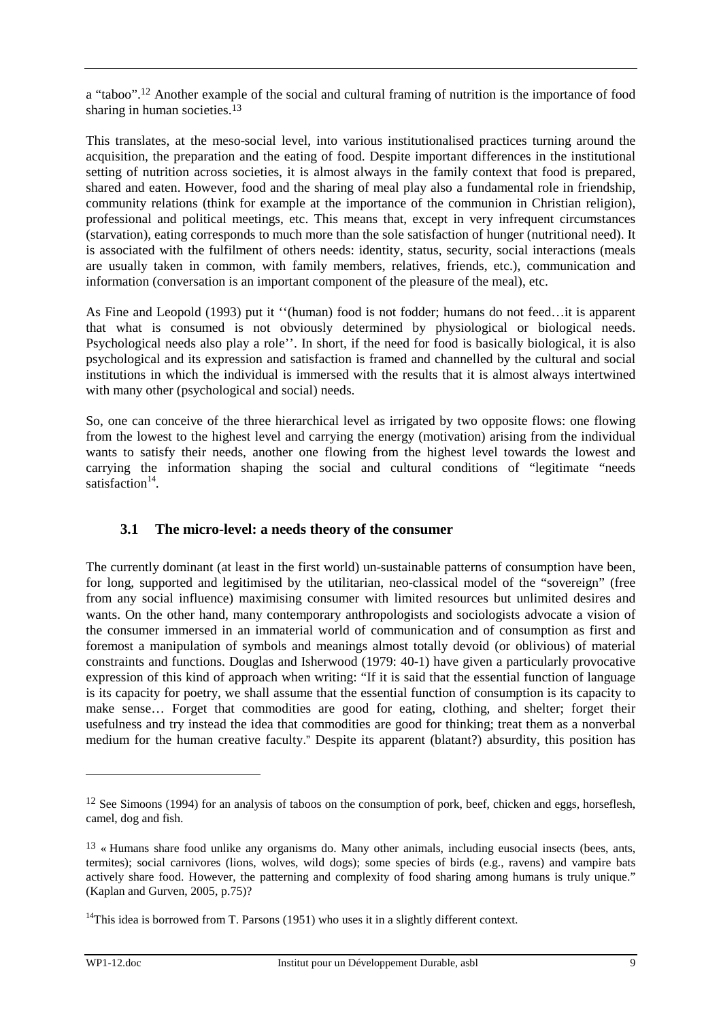a "taboo".12 Another example of the social and cultural framing of nutrition is the importance of food sharing in human societies.<sup>13</sup>

This translates, at the meso-social level, into various institutionalised practices turning around the acquisition, the preparation and the eating of food. Despite important differences in the institutional setting of nutrition across societies, it is almost always in the family context that food is prepared, shared and eaten. However, food and the sharing of meal play also a fundamental role in friendship, community relations (think for example at the importance of the communion in Christian religion), professional and political meetings, etc. This means that, except in very infrequent circumstances (starvation), eating corresponds to much more than the sole satisfaction of hunger (nutritional need). It is associated with the fulfilment of others needs: identity, status, security, social interactions (meals are usually taken in common, with family members, relatives, friends, etc.), communication and information (conversation is an important component of the pleasure of the meal), etc.

As Fine and Leopold (1993) put it ''(human) food is not fodder; humans do not feed…it is apparent that what is consumed is not obviously determined by physiological or biological needs. Psychological needs also play a role''. In short, if the need for food is basically biological, it is also psychological and its expression and satisfaction is framed and channelled by the cultural and social institutions in which the individual is immersed with the results that it is almost always intertwined with many other (psychological and social) needs.

So, one can conceive of the three hierarchical level as irrigated by two opposite flows: one flowing from the lowest to the highest level and carrying the energy (motivation) arising from the individual wants to satisfy their needs, another one flowing from the highest level towards the lowest and carrying the information shaping the social and cultural conditions of "legitimate "needs satisfaction<sup>14</sup>.

### **3.1 The micro-level: a needs theory of the consumer**

The currently dominant (at least in the first world) un-sustainable patterns of consumption have been, for long, supported and legitimised by the utilitarian, neo-classical model of the "sovereign" (free from any social influence) maximising consumer with limited resources but unlimited desires and wants. On the other hand, many contemporary anthropologists and sociologists advocate a vision of the consumer immersed in an immaterial world of communication and of consumption as first and foremost a manipulation of symbols and meanings almost totally devoid (or oblivious) of material constraints and functions. Douglas and Isherwood (1979: 40-1) have given a particularly provocative expression of this kind of approach when writing: "If it is said that the essential function of language is its capacity for poetry, we shall assume that the essential function of consumption is its capacity to make sense… Forget that commodities are good for eating, clothing, and shelter; forget their usefulness and try instead the idea that commodities are good for thinking; treat them as a nonverbal medium for the human creative faculty." Despite its apparent (blatant?) absurdity, this position has

<sup>&</sup>lt;sup>12</sup> See Simoons (1994) for an analysis of taboos on the consumption of pork, beef, chicken and eggs, horseflesh, camel, dog and fish.

<sup>13</sup> « Humans share food unlike any organisms do. Many other animals, including eusocial insects (bees, ants, termites); social carnivores (lions, wolves, wild dogs); some species of birds (e.g., ravens) and vampire bats actively share food. However, the patterning and complexity of food sharing among humans is truly unique." (Kaplan and Gurven, 2005, p.75)?

<sup>&</sup>lt;sup>14</sup>This idea is borrowed from T. Parsons (1951) who uses it in a slightly different context.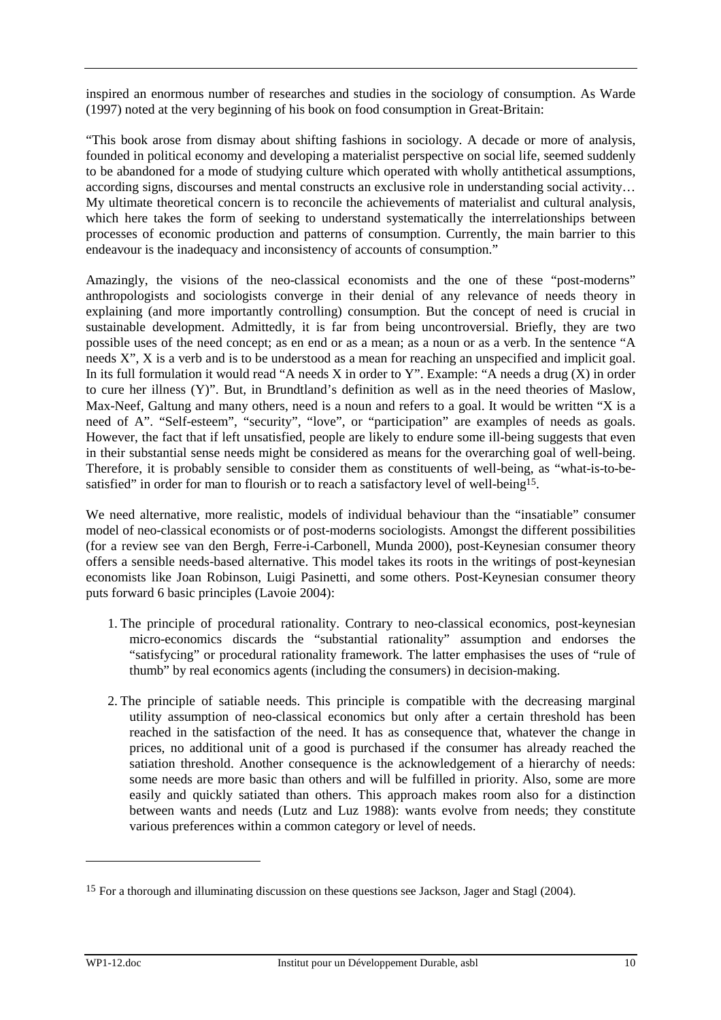inspired an enormous number of researches and studies in the sociology of consumption. As Warde (1997) noted at the very beginning of his book on food consumption in Great-Britain:

"This book arose from dismay about shifting fashions in sociology. A decade or more of analysis, founded in political economy and developing a materialist perspective on social life, seemed suddenly to be abandoned for a mode of studying culture which operated with wholly antithetical assumptions, according signs, discourses and mental constructs an exclusive role in understanding social activity… My ultimate theoretical concern is to reconcile the achievements of materialist and cultural analysis, which here takes the form of seeking to understand systematically the interrelationships between processes of economic production and patterns of consumption. Currently, the main barrier to this endeavour is the inadequacy and inconsistency of accounts of consumption."

Amazingly, the visions of the neo-classical economists and the one of these "post-moderns" anthropologists and sociologists converge in their denial of any relevance of needs theory in explaining (and more importantly controlling) consumption. But the concept of need is crucial in sustainable development. Admittedly, it is far from being uncontroversial. Briefly, they are two possible uses of the need concept; as en end or as a mean; as a noun or as a verb. In the sentence "A needs X", X is a verb and is to be understood as a mean for reaching an unspecified and implicit goal. In its full formulation it would read "A needs X in order to Y". Example: "A needs a drug  $(X)$  in order to cure her illness (Y)". But, in Brundtland's definition as well as in the need theories of Maslow, Max-Neef, Galtung and many others, need is a noun and refers to a goal. It would be written "X is a need of A". "Self-esteem", "security", "love", or "participation" are examples of needs as goals. However, the fact that if left unsatisfied, people are likely to endure some ill-being suggests that even in their substantial sense needs might be considered as means for the overarching goal of well-being. Therefore, it is probably sensible to consider them as constituents of well-being, as "what-is-to-besatisfied" in order for man to flourish or to reach a satisfactory level of well-being<sup>15</sup>.

We need alternative, more realistic, models of individual behaviour than the "insatiable" consumer model of neo-classical economists or of post-moderns sociologists. Amongst the different possibilities (for a review see van den Bergh, Ferre-i-Carbonell, Munda 2000), post-Keynesian consumer theory offers a sensible needs-based alternative. This model takes its roots in the writings of post-keynesian economists like Joan Robinson, Luigi Pasinetti, and some others. Post-Keynesian consumer theory puts forward 6 basic principles (Lavoie 2004):

- 1. The principle of procedural rationality. Contrary to neo-classical economics, post-keynesian micro-economics discards the "substantial rationality" assumption and endorses the "satisfycing" or procedural rationality framework. The latter emphasises the uses of "rule of thumb" by real economics agents (including the consumers) in decision-making.
- 2. The principle of satiable needs. This principle is compatible with the decreasing marginal utility assumption of neo-classical economics but only after a certain threshold has been reached in the satisfaction of the need. It has as consequence that, whatever the change in prices, no additional unit of a good is purchased if the consumer has already reached the satiation threshold. Another consequence is the acknowledgement of a hierarchy of needs: some needs are more basic than others and will be fulfilled in priority. Also, some are more easily and quickly satiated than others. This approach makes room also for a distinction between wants and needs (Lutz and Luz 1988): wants evolve from needs; they constitute various preferences within a common category or level of needs.

<sup>&</sup>lt;sup>15</sup> For a thorough and illuminating discussion on these questions see Jackson, Jager and Stagl (2004).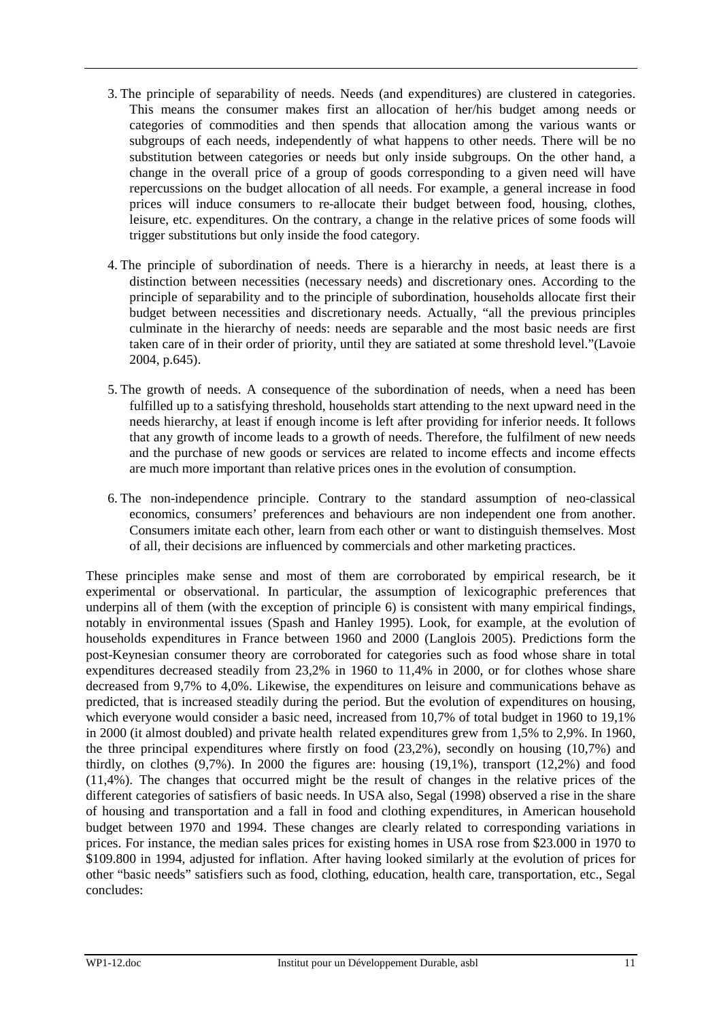- 3. The principle of separability of needs. Needs (and expenditures) are clustered in categories. This means the consumer makes first an allocation of her/his budget among needs or categories of commodities and then spends that allocation among the various wants or subgroups of each needs, independently of what happens to other needs. There will be no substitution between categories or needs but only inside subgroups. On the other hand, a change in the overall price of a group of goods corresponding to a given need will have repercussions on the budget allocation of all needs. For example, a general increase in food prices will induce consumers to re-allocate their budget between food, housing, clothes, leisure, etc. expenditures. On the contrary, a change in the relative prices of some foods will trigger substitutions but only inside the food category.
- 4. The principle of subordination of needs. There is a hierarchy in needs, at least there is a distinction between necessities (necessary needs) and discretionary ones. According to the principle of separability and to the principle of subordination, households allocate first their budget between necessities and discretionary needs. Actually, "all the previous principles culminate in the hierarchy of needs: needs are separable and the most basic needs are first taken care of in their order of priority, until they are satiated at some threshold level."(Lavoie 2004, p.645).
- 5. The growth of needs. A consequence of the subordination of needs, when a need has been fulfilled up to a satisfying threshold, households start attending to the next upward need in the needs hierarchy, at least if enough income is left after providing for inferior needs. It follows that any growth of income leads to a growth of needs. Therefore, the fulfilment of new needs and the purchase of new goods or services are related to income effects and income effects are much more important than relative prices ones in the evolution of consumption.
- 6. The non-independence principle. Contrary to the standard assumption of neo-classical economics, consumers' preferences and behaviours are non independent one from another. Consumers imitate each other, learn from each other or want to distinguish themselves. Most of all, their decisions are influenced by commercials and other marketing practices.

These principles make sense and most of them are corroborated by empirical research, be it experimental or observational. In particular, the assumption of lexicographic preferences that underpins all of them (with the exception of principle 6) is consistent with many empirical findings, notably in environmental issues (Spash and Hanley 1995). Look, for example, at the evolution of households expenditures in France between 1960 and 2000 (Langlois 2005). Predictions form the post-Keynesian consumer theory are corroborated for categories such as food whose share in total expenditures decreased steadily from 23,2% in 1960 to 11,4% in 2000, or for clothes whose share decreased from 9,7% to 4,0%. Likewise, the expenditures on leisure and communications behave as predicted, that is increased steadily during the period. But the evolution of expenditures on housing, which everyone would consider a basic need, increased from 10,7% of total budget in 1960 to 19,1% in 2000 (it almost doubled) and private health related expenditures grew from 1,5% to 2,9%. In 1960, the three principal expenditures where firstly on food (23,2%), secondly on housing (10,7%) and thirdly, on clothes (9,7%). In 2000 the figures are: housing (19,1%), transport (12,2%) and food (11,4%). The changes that occurred might be the result of changes in the relative prices of the different categories of satisfiers of basic needs. In USA also, Segal (1998) observed a rise in the share of housing and transportation and a fall in food and clothing expenditures, in American household budget between 1970 and 1994. These changes are clearly related to corresponding variations in prices. For instance, the median sales prices for existing homes in USA rose from \$23.000 in 1970 to \$109.800 in 1994, adjusted for inflation. After having looked similarly at the evolution of prices for other "basic needs" satisfiers such as food, clothing, education, health care, transportation, etc., Segal concludes: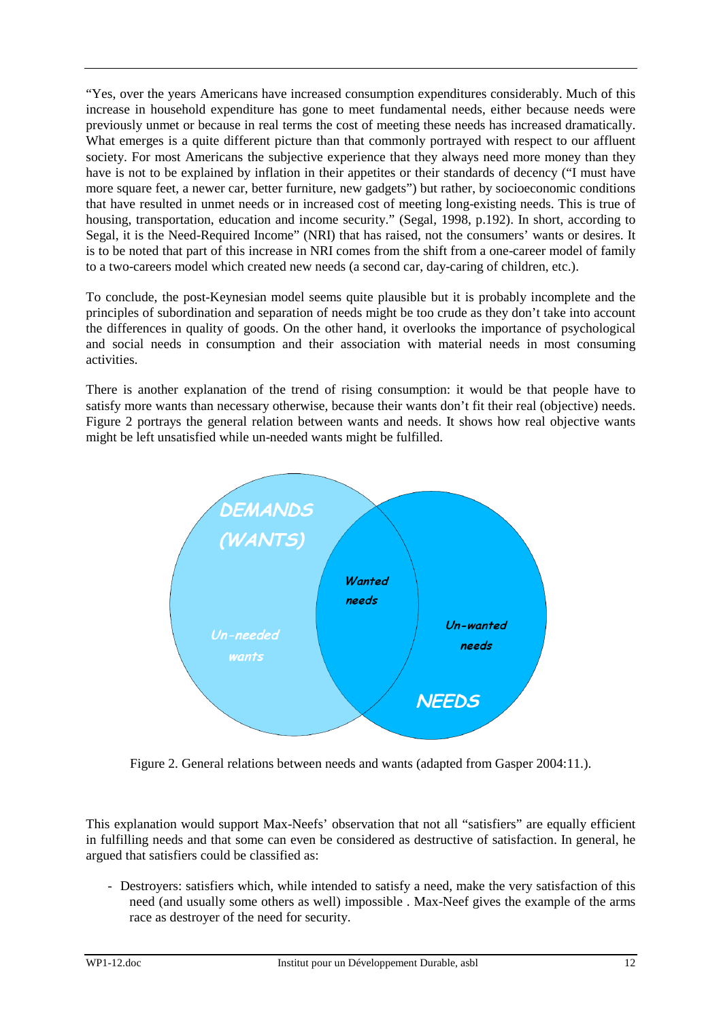"Yes, over the years Americans have increased consumption expenditures considerably. Much of this increase in household expenditure has gone to meet fundamental needs, either because needs were previously unmet or because in real terms the cost of meeting these needs has increased dramatically. What emerges is a quite different picture than that commonly portrayed with respect to our affluent society. For most Americans the subjective experience that they always need more money than they have is not to be explained by inflation in their appetites or their standards of decency ("I must have more square feet, a newer car, better furniture, new gadgets") but rather, by socioeconomic conditions that have resulted in unmet needs or in increased cost of meeting long-existing needs. This is true of housing, transportation, education and income security." (Segal, 1998, p.192). In short, according to Segal, it is the Need-Required Income" (NRI) that has raised, not the consumers' wants or desires. It is to be noted that part of this increase in NRI comes from the shift from a one-career model of family to a two-careers model which created new needs (a second car, day-caring of children, etc.).

To conclude, the post-Keynesian model seems quite plausible but it is probably incomplete and the principles of subordination and separation of needs might be too crude as they don't take into account the differences in quality of goods. On the other hand, it overlooks the importance of psychological and social needs in consumption and their association with material needs in most consuming activities.

There is another explanation of the trend of rising consumption: it would be that people have to satisfy more wants than necessary otherwise, because their wants don't fit their real (objective) needs. Figure 2 portrays the general relation between wants and needs. It shows how real objective wants might be left unsatisfied while un-needed wants might be fulfilled.



Figure 2. General relations between needs and wants (adapted from Gasper 2004:11.).

This explanation would support Max-Neefs' observation that not all "satisfiers" are equally efficient in fulfilling needs and that some can even be considered as destructive of satisfaction. In general, he argued that satisfiers could be classified as:

- Destroyers: satisfiers which, while intended to satisfy a need, make the very satisfaction of this need (and usually some others as well) impossible . Max-Neef gives the example of the arms race as destroyer of the need for security.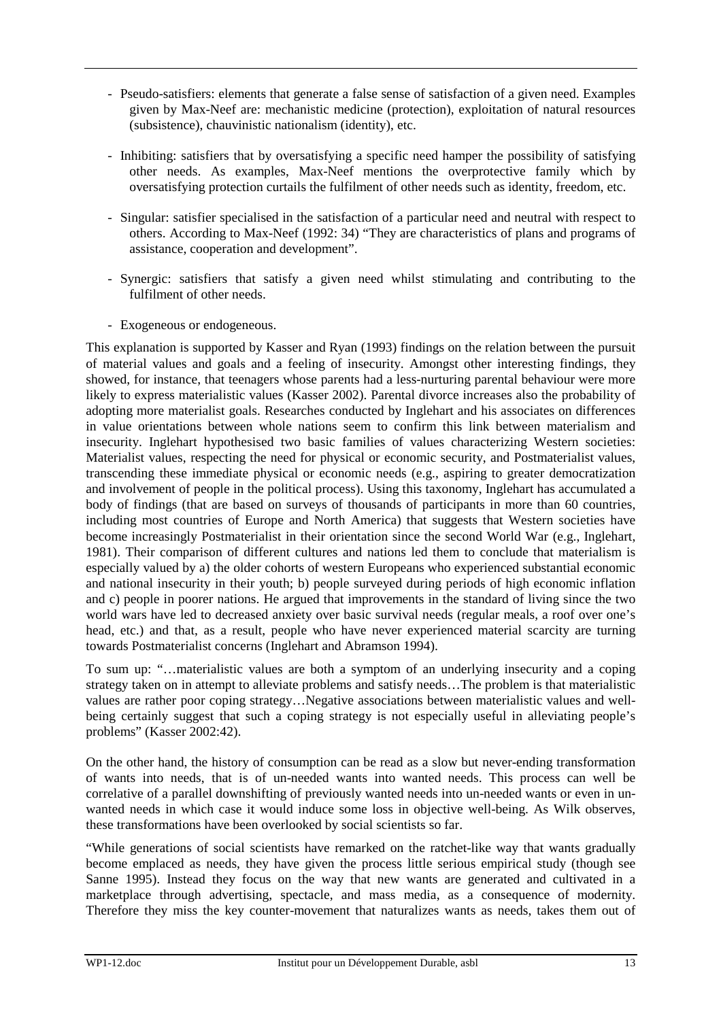- Pseudo-satisfiers: elements that generate a false sense of satisfaction of a given need. Examples given by Max-Neef are: mechanistic medicine (protection), exploitation of natural resources (subsistence), chauvinistic nationalism (identity), etc.
- Inhibiting: satisfiers that by oversatisfying a specific need hamper the possibility of satisfying other needs. As examples, Max-Neef mentions the overprotective family which by oversatisfying protection curtails the fulfilment of other needs such as identity, freedom, etc.
- Singular: satisfier specialised in the satisfaction of a particular need and neutral with respect to others. According to Max-Neef (1992: 34) "They are characteristics of plans and programs of assistance, cooperation and development".
- Synergic: satisfiers that satisfy a given need whilst stimulating and contributing to the fulfilment of other needs.
- Exogeneous or endogeneous.

This explanation is supported by Kasser and Ryan (1993) findings on the relation between the pursuit of material values and goals and a feeling of insecurity. Amongst other interesting findings, they showed, for instance, that teenagers whose parents had a less-nurturing parental behaviour were more likely to express materialistic values (Kasser 2002). Parental divorce increases also the probability of adopting more materialist goals. Researches conducted by Inglehart and his associates on differences in value orientations between whole nations seem to confirm this link between materialism and insecurity. Inglehart hypothesised two basic families of values characterizing Western societies: Materialist values, respecting the need for physical or economic security, and Postmaterialist values, transcending these immediate physical or economic needs (e.g., aspiring to greater democratization and involvement of people in the political process). Using this taxonomy, Inglehart has accumulated a body of findings (that are based on surveys of thousands of participants in more than 60 countries, including most countries of Europe and North America) that suggests that Western societies have become increasingly Postmaterialist in their orientation since the second World War (e.g., Inglehart, 1981). Their comparison of different cultures and nations led them to conclude that materialism is especially valued by a) the older cohorts of western Europeans who experienced substantial economic and national insecurity in their youth; b) people surveyed during periods of high economic inflation and c) people in poorer nations. He argued that improvements in the standard of living since the two world wars have led to decreased anxiety over basic survival needs (regular meals, a roof over one's head, etc.) and that, as a result, people who have never experienced material scarcity are turning towards Postmaterialist concerns (Inglehart and Abramson 1994).

To sum up: "…materialistic values are both a symptom of an underlying insecurity and a coping strategy taken on in attempt to alleviate problems and satisfy needs…The problem is that materialistic values are rather poor coping strategy…Negative associations between materialistic values and wellbeing certainly suggest that such a coping strategy is not especially useful in alleviating people's problems" (Kasser 2002:42).

On the other hand, the history of consumption can be read as a slow but never-ending transformation of wants into needs, that is of un-needed wants into wanted needs. This process can well be correlative of a parallel downshifting of previously wanted needs into un-needed wants or even in unwanted needs in which case it would induce some loss in objective well-being. As Wilk observes, these transformations have been overlooked by social scientists so far.

"While generations of social scientists have remarked on the ratchet-like way that wants gradually become emplaced as needs, they have given the process little serious empirical study (though see Sanne 1995). Instead they focus on the way that new wants are generated and cultivated in a marketplace through advertising, spectacle, and mass media, as a consequence of modernity. Therefore they miss the key counter-movement that naturalizes wants as needs, takes them out of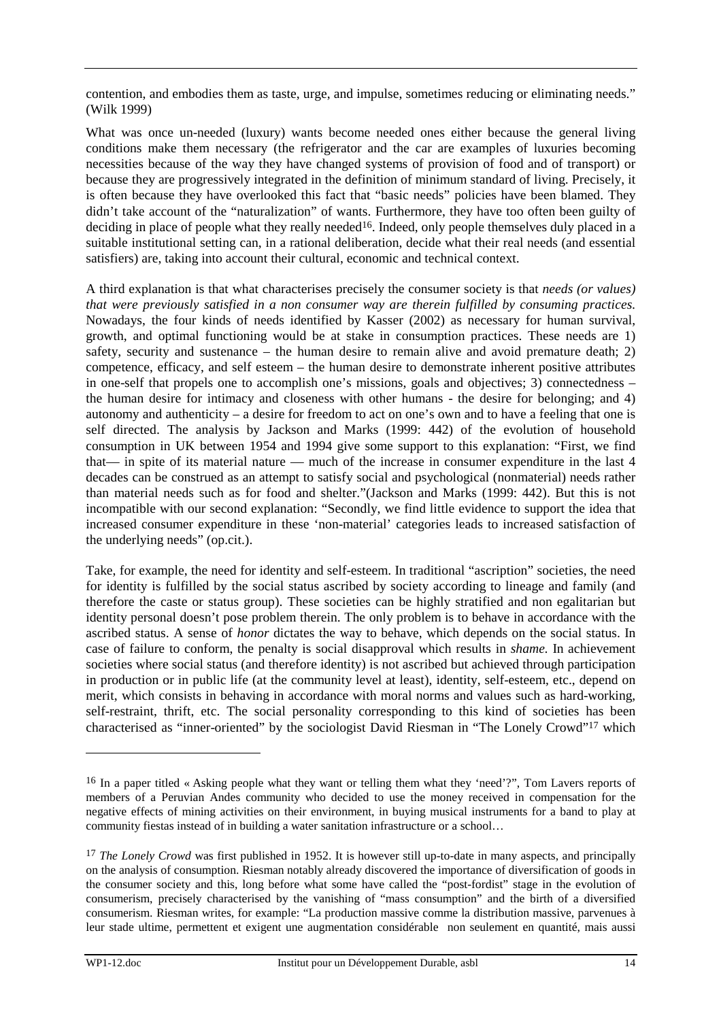contention, and embodies them as taste, urge, and impulse, sometimes reducing or eliminating needs." (Wilk 1999)

What was once un-needed (luxury) wants become needed ones either because the general living conditions make them necessary (the refrigerator and the car are examples of luxuries becoming necessities because of the way they have changed systems of provision of food and of transport) or because they are progressively integrated in the definition of minimum standard of living. Precisely, it is often because they have overlooked this fact that "basic needs" policies have been blamed. They didn't take account of the "naturalization" of wants. Furthermore, they have too often been guilty of deciding in place of people what they really needed<sup>16</sup>. Indeed, only people themselves duly placed in a suitable institutional setting can, in a rational deliberation, decide what their real needs (and essential satisfiers) are, taking into account their cultural, economic and technical context.

A third explanation is that what characterises precisely the consumer society is that *needs (or values) that were previously satisfied in a non consumer way are therein fulfilled by consuming practices.*  Nowadays, the four kinds of needs identified by Kasser (2002) as necessary for human survival, growth, and optimal functioning would be at stake in consumption practices. These needs are 1) safety, security and sustenance – the human desire to remain alive and avoid premature death; 2) competence, efficacy, and self esteem – the human desire to demonstrate inherent positive attributes in one-self that propels one to accomplish one's missions, goals and objectives; 3) connectedness – the human desire for intimacy and closeness with other humans - the desire for belonging; and 4) autonomy and authenticity – a desire for freedom to act on one's own and to have a feeling that one is self directed. The analysis by Jackson and Marks (1999: 442) of the evolution of household consumption in UK between 1954 and 1994 give some support to this explanation: "First, we find that— in spite of its material nature — much of the increase in consumer expenditure in the last 4 decades can be construed as an attempt to satisfy social and psychological (nonmaterial) needs rather than material needs such as for food and shelter."(Jackson and Marks (1999: 442). But this is not incompatible with our second explanation: "Secondly, we find little evidence to support the idea that increased consumer expenditure in these 'non-material' categories leads to increased satisfaction of the underlying needs" (op.cit.).

Take, for example, the need for identity and self-esteem. In traditional "ascription" societies, the need for identity is fulfilled by the social status ascribed by society according to lineage and family (and therefore the caste or status group). These societies can be highly stratified and non egalitarian but identity personal doesn't pose problem therein. The only problem is to behave in accordance with the ascribed status. A sense of *honor* dictates the way to behave, which depends on the social status. In case of failure to conform, the penalty is social disapproval which results in *shame.* In achievement societies where social status (and therefore identity) is not ascribed but achieved through participation in production or in public life (at the community level at least), identity, self-esteem, etc., depend on merit, which consists in behaving in accordance with moral norms and values such as hard-working, self-restraint, thrift, etc. The social personality corresponding to this kind of societies has been characterised as "inner-oriented" by the sociologist David Riesman in "The Lonely Crowd"17 which

<sup>16</sup> In a paper titled « Asking people what they want or telling them what they 'need'?", Tom Lavers reports of members of a Peruvian Andes community who decided to use the money received in compensation for the negative effects of mining activities on their environment, in buying musical instruments for a band to play at community fiestas instead of in building a water sanitation infrastructure or a school…

<sup>&</sup>lt;sup>17</sup> *The Lonely Crowd* was first published in 1952. It is however still up-to-date in many aspects, and principally on the analysis of consumption. Riesman notably already discovered the importance of diversification of goods in the consumer society and this, long before what some have called the "post-fordist" stage in the evolution of consumerism, precisely characterised by the vanishing of "mass consumption" and the birth of a diversified consumerism. Riesman writes, for example: "La production massive comme la distribution massive, parvenues à leur stade ultime, permettent et exigent une augmentation considérable non seulement en quantité, mais aussi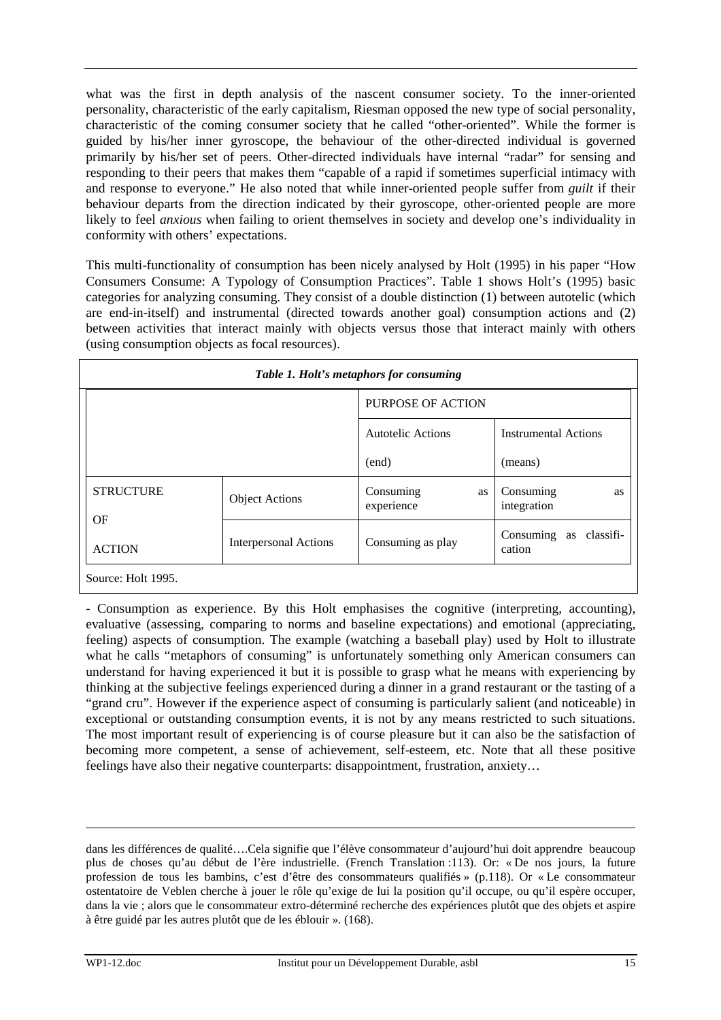what was the first in depth analysis of the nascent consumer society. To the inner-oriented personality, characteristic of the early capitalism, Riesman opposed the new type of social personality, characteristic of the coming consumer society that he called "other-oriented". While the former is guided by his/her inner gyroscope, the behaviour of the other-directed individual is governed primarily by his/her set of peers. Other-directed individuals have internal "radar" for sensing and responding to their peers that makes them "capable of a rapid if sometimes superficial intimacy with and response to everyone." He also noted that while inner-oriented people suffer from *guilt* if their behaviour departs from the direction indicated by their gyroscope, other-oriented people are more likely to feel *anxious* when failing to orient themselves in society and develop one's individuality in conformity with others' expectations.

This multi-functionality of consumption has been nicely analysed by Holt (1995) in his paper "How Consumers Consume: A Typology of Consumption Practices". Table 1 shows Holt's (1995) basic categories for analyzing consuming. They consist of a double distinction (1) between autotelic (which are end-in-itself) and instrumental (directed towards another goal) consumption actions and (2) between activities that interact mainly with objects versus those that interact mainly with others (using consumption objects as focal resources).

| Table 1. Holt's metaphors for consuming             |                       |                               |                                        |  |  |
|-----------------------------------------------------|-----------------------|-------------------------------|----------------------------------------|--|--|
|                                                     |                       | <b>PURPOSE OF ACTION</b>      |                                        |  |  |
|                                                     |                       | Autotelic Actions             | <b>Instrumental Actions</b>            |  |  |
|                                                     |                       | (end)                         | (means)                                |  |  |
| <b>STRUCTURE</b>                                    | <b>Object Actions</b> | Consuming<br>as<br>experience | Consuming<br><b>as</b><br>integration  |  |  |
| OF<br><b>Interpersonal Actions</b><br><b>ACTION</b> |                       | Consuming as play             | Consuming<br>classifi-<br>as<br>cation |  |  |
| Source: Holt 1995.                                  |                       |                               |                                        |  |  |

- Consumption as experience. By this Holt emphasises the cognitive (interpreting, accounting), evaluative (assessing, comparing to norms and baseline expectations) and emotional (appreciating, feeling) aspects of consumption. The example (watching a baseball play) used by Holt to illustrate what he calls "metaphors of consuming" is unfortunately something only American consumers can understand for having experienced it but it is possible to grasp what he means with experiencing by thinking at the subjective feelings experienced during a dinner in a grand restaurant or the tasting of a "grand cru". However if the experience aspect of consuming is particularly salient (and noticeable) in exceptional or outstanding consumption events, it is not by any means restricted to such situations. The most important result of experiencing is of course pleasure but it can also be the satisfaction of becoming more competent, a sense of achievement, self-esteem, etc. Note that all these positive feelings have also their negative counterparts: disappointment, frustration, anxiety…

dans les différences de qualité….Cela signifie que l'élève consommateur d'aujourd'hui doit apprendre beaucoup plus de choses qu'au début de l'ère industrielle. (French Translation :113). Or: « De nos jours, la future profession de tous les bambins, c'est d'être des consommateurs qualifiés » (p.118). Or « Le consommateur ostentatoire de Veblen cherche à jouer le rôle qu'exige de lui la position qu'il occupe, ou qu'il espère occuper, dans la vie ; alors que le consommateur extro-déterminé recherche des expériences plutôt que des objets et aspire à être guidé par les autres plutôt que de les éblouir ». (168).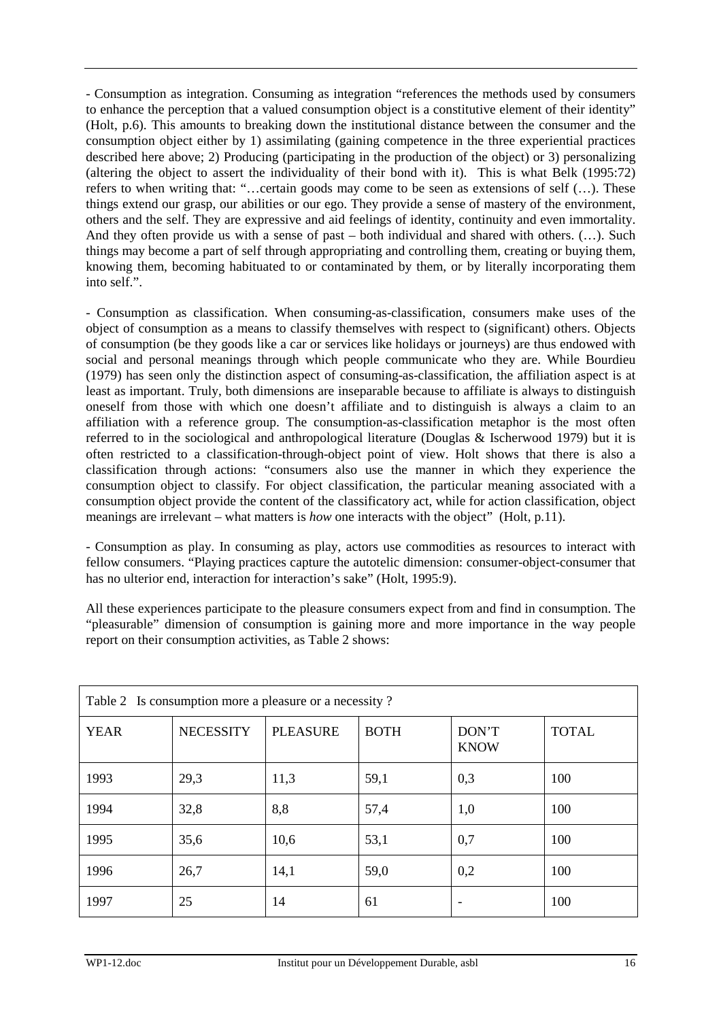- Consumption as integration. Consuming as integration "references the methods used by consumers to enhance the perception that a valued consumption object is a constitutive element of their identity" (Holt, p.6). This amounts to breaking down the institutional distance between the consumer and the consumption object either by 1) assimilating (gaining competence in the three experiential practices described here above; 2) Producing (participating in the production of the object) or 3) personalizing (altering the object to assert the individuality of their bond with it). This is what Belk (1995:72) refers to when writing that: "…certain goods may come to be seen as extensions of self (…). These things extend our grasp, our abilities or our ego. They provide a sense of mastery of the environment, others and the self. They are expressive and aid feelings of identity, continuity and even immortality. And they often provide us with a sense of past – both individual and shared with others. (…). Such things may become a part of self through appropriating and controlling them, creating or buying them, knowing them, becoming habituated to or contaminated by them, or by literally incorporating them into self.".

- Consumption as classification. When consuming-as-classification, consumers make uses of the object of consumption as a means to classify themselves with respect to (significant) others. Objects of consumption (be they goods like a car or services like holidays or journeys) are thus endowed with social and personal meanings through which people communicate who they are. While Bourdieu (1979) has seen only the distinction aspect of consuming-as-classification, the affiliation aspect is at least as important. Truly, both dimensions are inseparable because to affiliate is always to distinguish oneself from those with which one doesn't affiliate and to distinguish is always a claim to an affiliation with a reference group. The consumption-as-classification metaphor is the most often referred to in the sociological and anthropological literature (Douglas & Ischerwood 1979) but it is often restricted to a classification-through-object point of view. Holt shows that there is also a classification through actions: "consumers also use the manner in which they experience the consumption object to classify. For object classification, the particular meaning associated with a consumption object provide the content of the classificatory act, while for action classification, object meanings are irrelevant – what matters is *how* one interacts with the object" (Holt, p.11).

- Consumption as play. In consuming as play, actors use commodities as resources to interact with fellow consumers. "Playing practices capture the autotelic dimension: consumer-object-consumer that has no ulterior end, interaction for interaction's sake" (Holt, 1995:9).

All these experiences participate to the pleasure consumers expect from and find in consumption. The "pleasurable" dimension of consumption is gaining more and more importance in the way people report on their consumption activities, as Table 2 shows:

| Table 2 Is consumption more a pleasure or a necessity? |                  |                 |             |                      |              |
|--------------------------------------------------------|------------------|-----------------|-------------|----------------------|--------------|
| <b>YEAR</b>                                            | <b>NECESSITY</b> | <b>PLEASURE</b> | <b>BOTH</b> | DON'T<br><b>KNOW</b> | <b>TOTAL</b> |
| 1993                                                   | 29,3             | 11,3            | 59,1        | 0,3                  | 100          |
| 1994                                                   | 32,8             | 8,8             | 57,4        | 1,0                  | 100          |
| 1995                                                   | 35,6             | 10,6            | 53,1        | 0,7                  | 100          |
| 1996                                                   | 26,7             | 14,1            | 59,0        | 0,2                  | 100          |
| 1997                                                   | 25               | 14              | 61          |                      | 100          |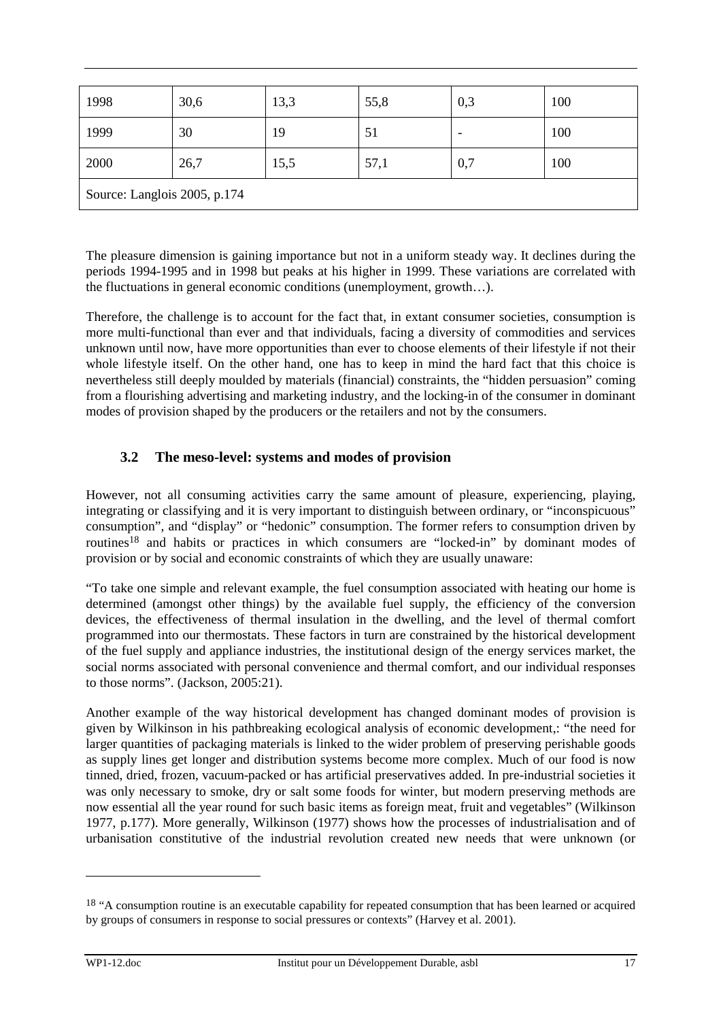| 1998                         | 30,6 | 13,3 | 55,8 | 0,3 | 100 |
|------------------------------|------|------|------|-----|-----|
| 1999                         | 30   | 19   | 51   |     | 100 |
| 2000                         | 26,7 | 15,5 | 57,1 | 0,7 | 100 |
| Source: Langlois 2005, p.174 |      |      |      |     |     |

The pleasure dimension is gaining importance but not in a uniform steady way. It declines during the periods 1994-1995 and in 1998 but peaks at his higher in 1999. These variations are correlated with the fluctuations in general economic conditions (unemployment, growth…).

Therefore, the challenge is to account for the fact that, in extant consumer societies, consumption is more multi-functional than ever and that individuals, facing a diversity of commodities and services unknown until now, have more opportunities than ever to choose elements of their lifestyle if not their whole lifestyle itself. On the other hand, one has to keep in mind the hard fact that this choice is nevertheless still deeply moulded by materials (financial) constraints, the "hidden persuasion" coming from a flourishing advertising and marketing industry, and the locking-in of the consumer in dominant modes of provision shaped by the producers or the retailers and not by the consumers.

## **3.2 The meso-level: systems and modes of provision**

However, not all consuming activities carry the same amount of pleasure, experiencing, playing, integrating or classifying and it is very important to distinguish between ordinary, or "inconspicuous" consumption", and "display" or "hedonic" consumption. The former refers to consumption driven by routines18 and habits or practices in which consumers are "locked-in" by dominant modes of provision or by social and economic constraints of which they are usually unaware:

"To take one simple and relevant example, the fuel consumption associated with heating our home is determined (amongst other things) by the available fuel supply, the efficiency of the conversion devices, the effectiveness of thermal insulation in the dwelling, and the level of thermal comfort programmed into our thermostats. These factors in turn are constrained by the historical development of the fuel supply and appliance industries, the institutional design of the energy services market, the social norms associated with personal convenience and thermal comfort, and our individual responses to those norms". (Jackson, 2005:21).

Another example of the way historical development has changed dominant modes of provision is given by Wilkinson in his pathbreaking ecological analysis of economic development,: "the need for larger quantities of packaging materials is linked to the wider problem of preserving perishable goods as supply lines get longer and distribution systems become more complex. Much of our food is now tinned, dried, frozen, vacuum-packed or has artificial preservatives added. In pre-industrial societies it was only necessary to smoke, dry or salt some foods for winter, but modern preserving methods are now essential all the year round for such basic items as foreign meat, fruit and vegetables" (Wilkinson 1977, p.177). More generally, Wilkinson (1977) shows how the processes of industrialisation and of urbanisation constitutive of the industrial revolution created new needs that were unknown (or

<sup>&</sup>lt;sup>18</sup> "A consumption routine is an executable capability for repeated consumption that has been learned or acquired by groups of consumers in response to social pressures or contexts" (Harvey et al. 2001).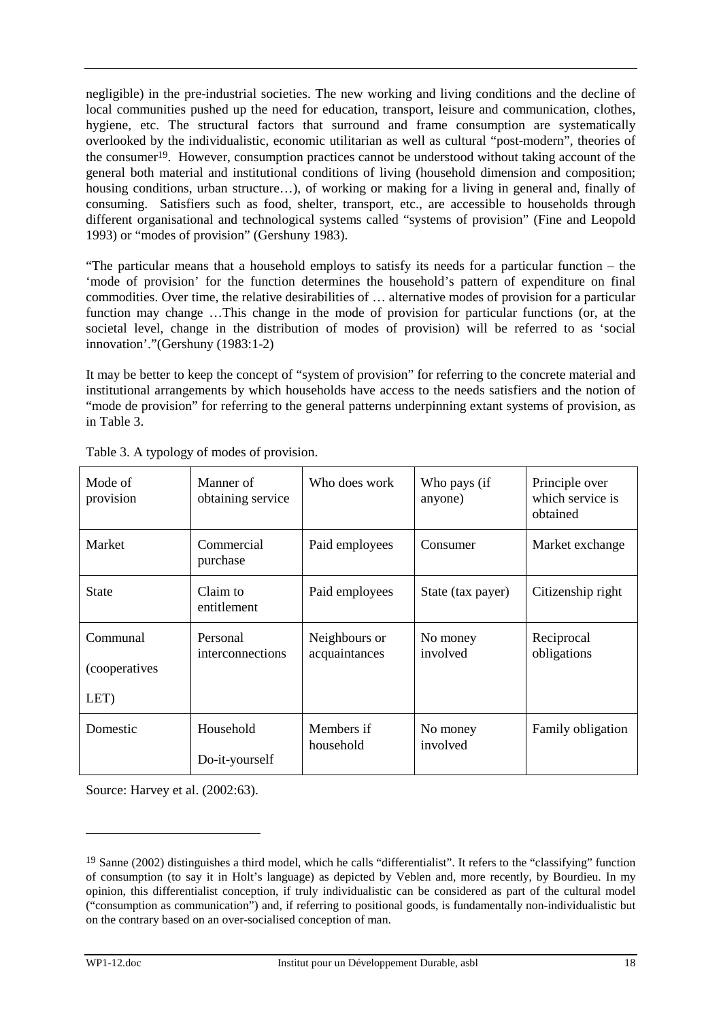negligible) in the pre-industrial societies. The new working and living conditions and the decline of local communities pushed up the need for education, transport, leisure and communication, clothes, hygiene, etc. The structural factors that surround and frame consumption are systematically overlooked by the individualistic, economic utilitarian as well as cultural "post-modern", theories of the consumer19. However, consumption practices cannot be understood without taking account of the general both material and institutional conditions of living (household dimension and composition; housing conditions, urban structure...), of working or making for a living in general and, finally of consuming. Satisfiers such as food, shelter, transport, etc., are accessible to households through different organisational and technological systems called "systems of provision" (Fine and Leopold 1993) or "modes of provision" (Gershuny 1983).

"The particular means that a household employs to satisfy its needs for a particular function – the 'mode of provision' for the function determines the household's pattern of expenditure on final commodities. Over time, the relative desirabilities of … alternative modes of provision for a particular function may change …This change in the mode of provision for particular functions (or, at the societal level, change in the distribution of modes of provision) will be referred to as 'social innovation'."(Gershuny (1983:1-2)

It may be better to keep the concept of "system of provision" for referring to the concrete material and institutional arrangements by which households have access to the needs satisfiers and the notion of "mode de provision" for referring to the general patterns underpinning extant systems of provision, as in Table 3.

| Mode of<br>provision                     | Manner of<br>obtaining service | Who does work                  | Who pays (if<br>anyone) | Principle over<br>which service is<br>obtained |
|------------------------------------------|--------------------------------|--------------------------------|-------------------------|------------------------------------------------|
| Market                                   | Commercial<br>purchase         | Paid employees                 | Consumer                | Market exchange                                |
| <b>State</b>                             | Claim to<br>entitlement        | Paid employees                 | State (tax payer)       | Citizenship right                              |
| Communal<br><i>(cooperatives</i><br>LET) | Personal<br>interconnections   | Neighbours or<br>acquaintances | No money<br>involved    | Reciprocal<br>obligations                      |
| Domestic                                 | Household<br>Do-it-yourself    | Members if<br>household        | No money<br>involved    | Family obligation                              |

Table 3. A typology of modes of provision.

Source: Harvey et al. (2002:63).

<sup>&</sup>lt;sup>19</sup> Sanne (2002) distinguishes a third model, which he calls "differentialist". It refers to the "classifying" function of consumption (to say it in Holt's language) as depicted by Veblen and, more recently, by Bourdieu. In my opinion, this differentialist conception, if truly individualistic can be considered as part of the cultural model ("consumption as communication") and, if referring to positional goods, is fundamentally non-individualistic but on the contrary based on an over-socialised conception of man.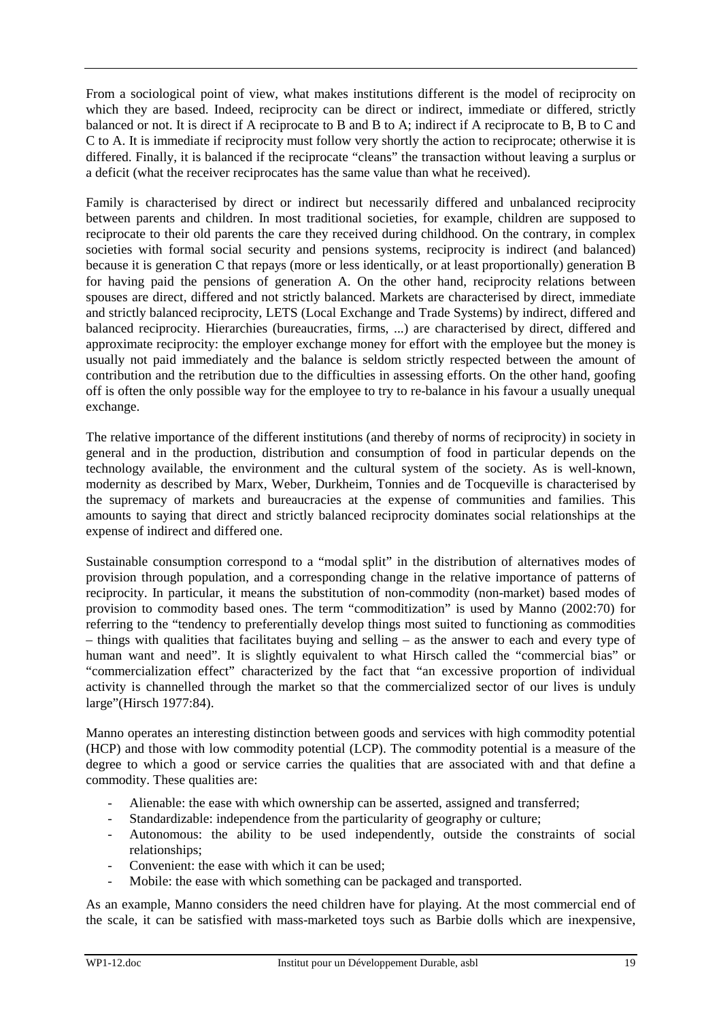From a sociological point of view, what makes institutions different is the model of reciprocity on which they are based. Indeed, reciprocity can be direct or indirect, immediate or differed, strictly balanced or not. It is direct if A reciprocate to B and B to A; indirect if A reciprocate to B, B to C and C to A. It is immediate if reciprocity must follow very shortly the action to reciprocate; otherwise it is differed. Finally, it is balanced if the reciprocate "cleans" the transaction without leaving a surplus or a deficit (what the receiver reciprocates has the same value than what he received).

Family is characterised by direct or indirect but necessarily differed and unbalanced reciprocity between parents and children. In most traditional societies, for example, children are supposed to reciprocate to their old parents the care they received during childhood. On the contrary, in complex societies with formal social security and pensions systems, reciprocity is indirect (and balanced) because it is generation C that repays (more or less identically, or at least proportionally) generation B for having paid the pensions of generation A. On the other hand, reciprocity relations between spouses are direct, differed and not strictly balanced. Markets are characterised by direct, immediate and strictly balanced reciprocity, LETS (Local Exchange and Trade Systems) by indirect, differed and balanced reciprocity. Hierarchies (bureaucraties, firms, ...) are characterised by direct, differed and approximate reciprocity: the employer exchange money for effort with the employee but the money is usually not paid immediately and the balance is seldom strictly respected between the amount of contribution and the retribution due to the difficulties in assessing efforts. On the other hand, goofing off is often the only possible way for the employee to try to re-balance in his favour a usually unequal exchange.

The relative importance of the different institutions (and thereby of norms of reciprocity) in society in general and in the production, distribution and consumption of food in particular depends on the technology available, the environment and the cultural system of the society. As is well-known, modernity as described by Marx, Weber, Durkheim, Tonnies and de Tocqueville is characterised by the supremacy of markets and bureaucracies at the expense of communities and families. This amounts to saying that direct and strictly balanced reciprocity dominates social relationships at the expense of indirect and differed one.

Sustainable consumption correspond to a "modal split" in the distribution of alternatives modes of provision through population, and a corresponding change in the relative importance of patterns of reciprocity. In particular, it means the substitution of non-commodity (non-market) based modes of provision to commodity based ones. The term "commoditization" is used by Manno (2002:70) for referring to the "tendency to preferentially develop things most suited to functioning as commodities – things with qualities that facilitates buying and selling – as the answer to each and every type of human want and need". It is slightly equivalent to what Hirsch called the "commercial bias" or "commercialization effect" characterized by the fact that "an excessive proportion of individual activity is channelled through the market so that the commercialized sector of our lives is unduly large"(Hirsch 1977:84).

Manno operates an interesting distinction between goods and services with high commodity potential (HCP) and those with low commodity potential (LCP). The commodity potential is a measure of the degree to which a good or service carries the qualities that are associated with and that define a commodity. These qualities are:

- Alienable: the ease with which ownership can be asserted, assigned and transferred;
- Standardizable: independence from the particularity of geography or culture;
- Autonomous: the ability to be used independently, outside the constraints of social relationships;
- Convenient: the ease with which it can be used;
- Mobile: the ease with which something can be packaged and transported.

As an example, Manno considers the need children have for playing. At the most commercial end of the scale, it can be satisfied with mass-marketed toys such as Barbie dolls which are inexpensive,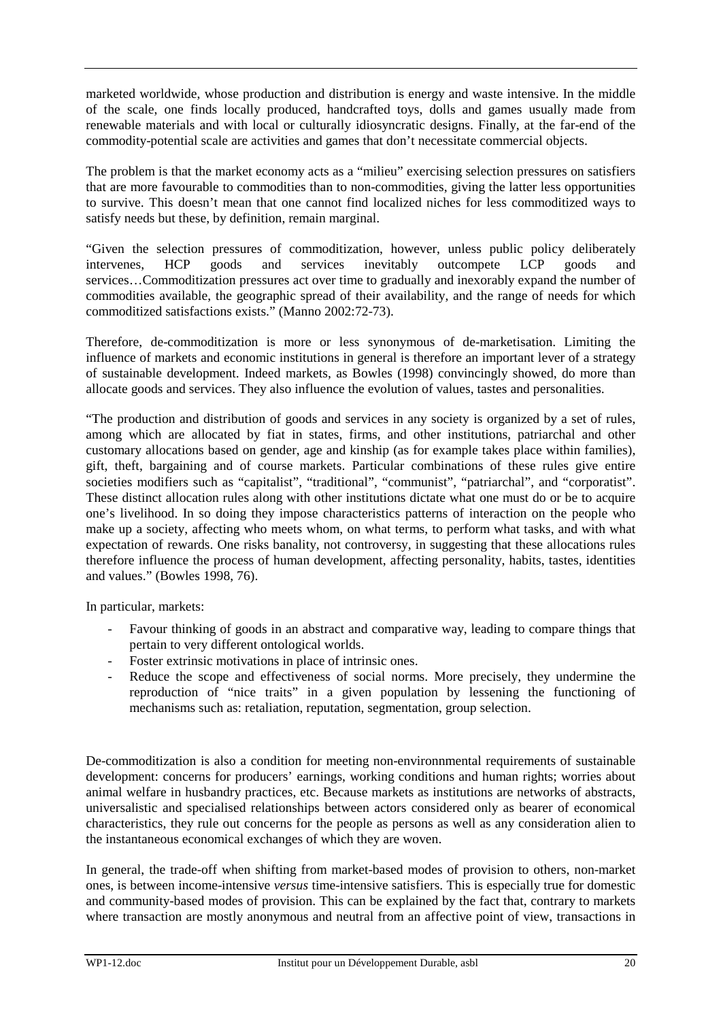marketed worldwide, whose production and distribution is energy and waste intensive. In the middle of the scale, one finds locally produced, handcrafted toys, dolls and games usually made from renewable materials and with local or culturally idiosyncratic designs. Finally, at the far-end of the commodity-potential scale are activities and games that don't necessitate commercial objects.

The problem is that the market economy acts as a "milieu" exercising selection pressures on satisfiers that are more favourable to commodities than to non-commodities, giving the latter less opportunities to survive. This doesn't mean that one cannot find localized niches for less commoditized ways to satisfy needs but these, by definition, remain marginal.

"Given the selection pressures of commoditization, however, unless public policy deliberately intervenes, HCP goods and services inevitably outcompete LCP goods and services…Commoditization pressures act over time to gradually and inexorably expand the number of commodities available, the geographic spread of their availability, and the range of needs for which commoditized satisfactions exists." (Manno 2002:72-73).

Therefore, de-commoditization is more or less synonymous of de-marketisation. Limiting the influence of markets and economic institutions in general is therefore an important lever of a strategy of sustainable development. Indeed markets, as Bowles (1998) convincingly showed, do more than allocate goods and services. They also influence the evolution of values, tastes and personalities.

"The production and distribution of goods and services in any society is organized by a set of rules, among which are allocated by fiat in states, firms, and other institutions, patriarchal and other customary allocations based on gender, age and kinship (as for example takes place within families), gift, theft, bargaining and of course markets. Particular combinations of these rules give entire societies modifiers such as "capitalist", "traditional", "communist", "patriarchal", and "corporatist". These distinct allocation rules along with other institutions dictate what one must do or be to acquire one's livelihood. In so doing they impose characteristics patterns of interaction on the people who make up a society, affecting who meets whom, on what terms, to perform what tasks, and with what expectation of rewards. One risks banality, not controversy, in suggesting that these allocations rules therefore influence the process of human development, affecting personality, habits, tastes, identities and values." (Bowles 1998, 76).

In particular, markets:

- Favour thinking of goods in an abstract and comparative way, leading to compare things that pertain to very different ontological worlds.
- Foster extrinsic motivations in place of intrinsic ones.
- Reduce the scope and effectiveness of social norms. More precisely, they undermine the reproduction of "nice traits" in a given population by lessening the functioning of mechanisms such as: retaliation, reputation, segmentation, group selection.

De-commoditization is also a condition for meeting non-environnmental requirements of sustainable development: concerns for producers' earnings, working conditions and human rights; worries about animal welfare in husbandry practices, etc. Because markets as institutions are networks of abstracts, universalistic and specialised relationships between actors considered only as bearer of economical characteristics, they rule out concerns for the people as persons as well as any consideration alien to the instantaneous economical exchanges of which they are woven.

In general, the trade-off when shifting from market-based modes of provision to others, non-market ones, is between income-intensive *versus* time-intensive satisfiers. This is especially true for domestic and community-based modes of provision. This can be explained by the fact that, contrary to markets where transaction are mostly anonymous and neutral from an affective point of view, transactions in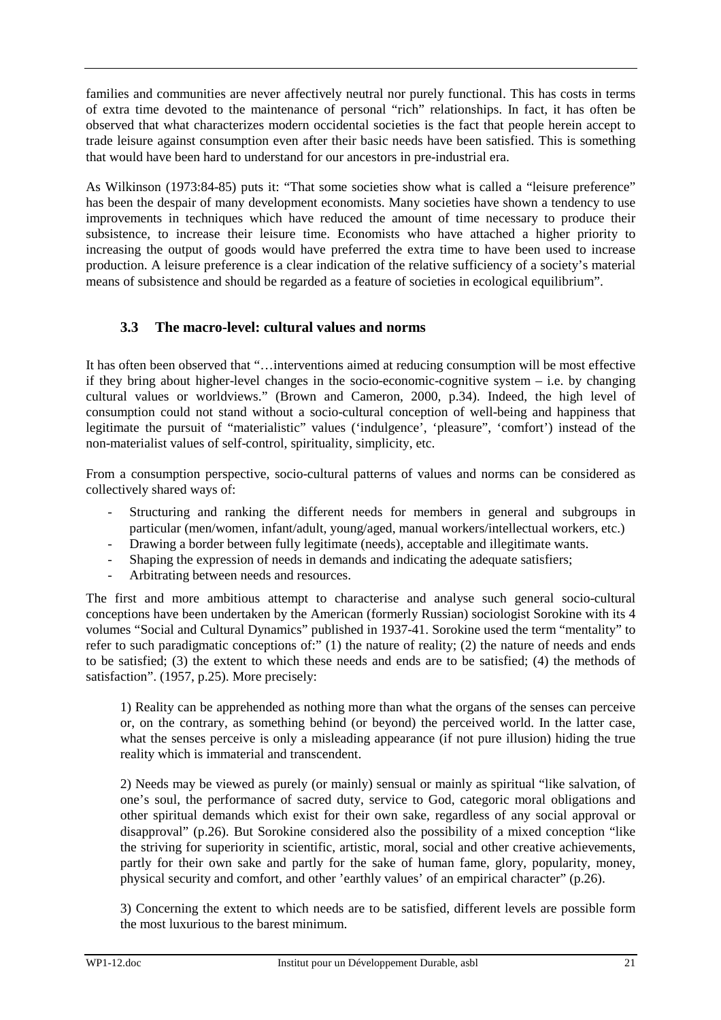families and communities are never affectively neutral nor purely functional. This has costs in terms of extra time devoted to the maintenance of personal "rich" relationships. In fact, it has often be observed that what characterizes modern occidental societies is the fact that people herein accept to trade leisure against consumption even after their basic needs have been satisfied. This is something that would have been hard to understand for our ancestors in pre-industrial era.

As Wilkinson (1973:84-85) puts it: "That some societies show what is called a "leisure preference" has been the despair of many development economists. Many societies have shown a tendency to use improvements in techniques which have reduced the amount of time necessary to produce their subsistence, to increase their leisure time. Economists who have attached a higher priority to increasing the output of goods would have preferred the extra time to have been used to increase production. A leisure preference is a clear indication of the relative sufficiency of a society's material means of subsistence and should be regarded as a feature of societies in ecological equilibrium".

## **3.3 The macro-level: cultural values and norms**

It has often been observed that "…interventions aimed at reducing consumption will be most effective if they bring about higher-level changes in the socio-economic-cognitive system – i.e. by changing cultural values or worldviews." (Brown and Cameron, 2000, p.34). Indeed, the high level of consumption could not stand without a socio-cultural conception of well-being and happiness that legitimate the pursuit of "materialistic" values ('indulgence', 'pleasure", 'comfort') instead of the non-materialist values of self-control, spirituality, simplicity, etc.

From a consumption perspective, socio-cultural patterns of values and norms can be considered as collectively shared ways of:

- Structuring and ranking the different needs for members in general and subgroups in particular (men/women, infant/adult, young/aged, manual workers/intellectual workers, etc.)
- Drawing a border between fully legitimate (needs), acceptable and illegitimate wants.
- Shaping the expression of needs in demands and indicating the adequate satisfiers;
- Arbitrating between needs and resources.

The first and more ambitious attempt to characterise and analyse such general socio-cultural conceptions have been undertaken by the American (formerly Russian) sociologist Sorokine with its 4 volumes "Social and Cultural Dynamics" published in 1937-41. Sorokine used the term "mentality" to refer to such paradigmatic conceptions of:" (1) the nature of reality; (2) the nature of needs and ends to be satisfied; (3) the extent to which these needs and ends are to be satisfied; (4) the methods of satisfaction". (1957, p.25). More precisely:

1) Reality can be apprehended as nothing more than what the organs of the senses can perceive or, on the contrary, as something behind (or beyond) the perceived world. In the latter case, what the senses perceive is only a misleading appearance (if not pure illusion) hiding the true reality which is immaterial and transcendent.

2) Needs may be viewed as purely (or mainly) sensual or mainly as spiritual "like salvation, of one's soul, the performance of sacred duty, service to God, categoric moral obligations and other spiritual demands which exist for their own sake, regardless of any social approval or disapproval" (p.26). But Sorokine considered also the possibility of a mixed conception "like the striving for superiority in scientific, artistic, moral, social and other creative achievements, partly for their own sake and partly for the sake of human fame, glory, popularity, money, physical security and comfort, and other 'earthly values' of an empirical character" (p.26).

3) Concerning the extent to which needs are to be satisfied, different levels are possible form the most luxurious to the barest minimum.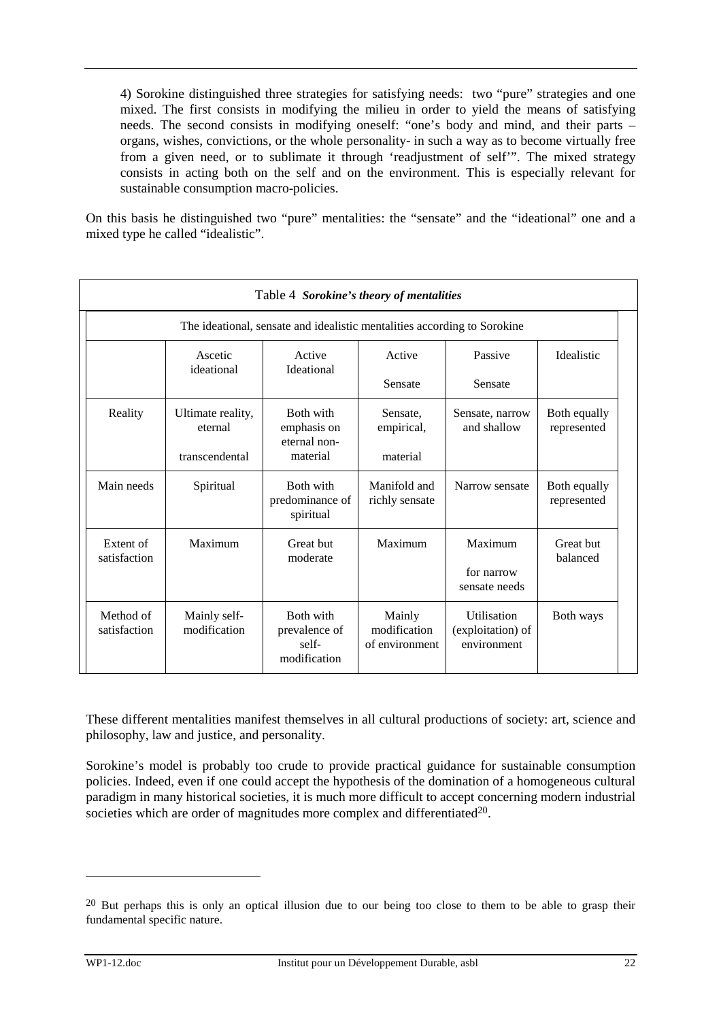4) Sorokine distinguished three strategies for satisfying needs: two "pure" strategies and one mixed. The first consists in modifying the milieu in order to yield the means of satisfying needs. The second consists in modifying oneself: "one's body and mind, and their parts – organs, wishes, convictions, or the whole personality- in such a way as to become virtually free from a given need, or to sublimate it through 'readjustment of self'". The mixed strategy consists in acting both on the self and on the environment. This is especially relevant for sustainable consumption macro-policies.

On this basis he distinguished two "pure" mentalities: the "sensate" and the "ideational" one and a mixed type he called "idealistic".

| Table 4 Sorokine's theory of mentalities |                              |                                                                          |                                          |                                                        |                             |
|------------------------------------------|------------------------------|--------------------------------------------------------------------------|------------------------------------------|--------------------------------------------------------|-----------------------------|
|                                          |                              | The ideational, sensate and idealistic mentalities according to Sorokine |                                          |                                                        |                             |
|                                          | Ascetic<br>ideational        | Active<br><b>Ideational</b>                                              | Active                                   | Passive                                                | <b>Idealistic</b>           |
|                                          |                              |                                                                          | Sensate                                  | Sensate                                                |                             |
| Reality                                  | Ultimate reality,<br>eternal | Both with<br>emphasis on<br>eternal non-                                 | Sensate,<br>empirical,                   | Sensate, narrow<br>and shallow                         | Both equally<br>represented |
|                                          | transcendental               | material                                                                 | material                                 |                                                        |                             |
| Main needs                               | Spiritual                    | <b>Both with</b><br>predominance of<br>spiritual                         | Manifold and<br>richly sensate           | Narrow sensate                                         | Both equally<br>represented |
| Extent of<br>satisfaction                | Maximum                      | Great but<br>moderate                                                    | Maximum                                  | Maximum<br>for narrow<br>sensate needs                 | Great but<br>balanced       |
| Method of<br>satisfaction                | Mainly self-<br>modification | Both with<br>prevalence of<br>self-<br>modification                      | Mainly<br>modification<br>of environment | <b>Utilisation</b><br>(exploitation) of<br>environment | Both ways                   |

These different mentalities manifest themselves in all cultural productions of society: art, science and philosophy, law and justice, and personality.

Sorokine's model is probably too crude to provide practical guidance for sustainable consumption policies. Indeed, even if one could accept the hypothesis of the domination of a homogeneous cultural paradigm in many historical societies, it is much more difficult to accept concerning modern industrial societies which are order of magnitudes more complex and differentiated<sup>20</sup>.

<sup>&</sup>lt;sup>20</sup> But perhaps this is only an optical illusion due to our being too close to them to be able to grasp their fundamental specific nature.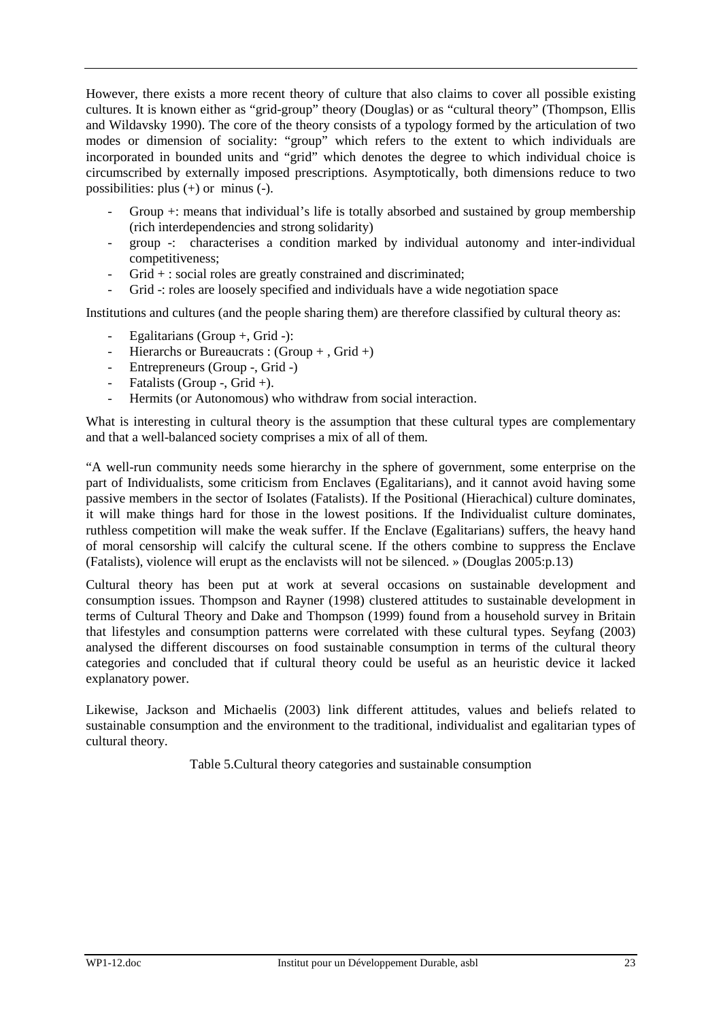However, there exists a more recent theory of culture that also claims to cover all possible existing cultures. It is known either as "grid-group" theory (Douglas) or as "cultural theory" (Thompson, Ellis and Wildavsky 1990). The core of the theory consists of a typology formed by the articulation of two modes or dimension of sociality: "group" which refers to the extent to which individuals are incorporated in bounded units and "grid" which denotes the degree to which individual choice is circumscribed by externally imposed prescriptions. Asymptotically, both dimensions reduce to two possibilities: plus (+) or minus (-).

- Group  $+$ : means that individual's life is totally absorbed and sustained by group membership (rich interdependencies and strong solidarity)
- group -: characterises a condition marked by individual autonomy and inter-individual competitiveness;
- Grid + : social roles are greatly constrained and discriminated;
- Grid -: roles are loosely specified and individuals have a wide negotiation space

Institutions and cultures (and the people sharing them) are therefore classified by cultural theory as:

- Egalitarians (Group  $+$ , Grid  $-$ ):
- Hierarchs or Bureaucrats :  $(Group + Grid +)$
- Entrepreneurs (Group -, Grid -)
- Fatalists (Group -, Grid +).
- Hermits (or Autonomous) who withdraw from social interaction.

What is interesting in cultural theory is the assumption that these cultural types are complementary and that a well-balanced society comprises a mix of all of them.

"A well-run community needs some hierarchy in the sphere of government, some enterprise on the part of Individualists, some criticism from Enclaves (Egalitarians), and it cannot avoid having some passive members in the sector of Isolates (Fatalists). If the Positional (Hierachical) culture dominates, it will make things hard for those in the lowest positions. If the Individualist culture dominates, ruthless competition will make the weak suffer. If the Enclave (Egalitarians) suffers, the heavy hand of moral censorship will calcify the cultural scene. If the others combine to suppress the Enclave (Fatalists), violence will erupt as the enclavists will not be silenced. » (Douglas 2005:p.13)

Cultural theory has been put at work at several occasions on sustainable development and consumption issues. Thompson and Rayner (1998) clustered attitudes to sustainable development in terms of Cultural Theory and Dake and Thompson (1999) found from a household survey in Britain that lifestyles and consumption patterns were correlated with these cultural types. Seyfang (2003) analysed the different discourses on food sustainable consumption in terms of the cultural theory categories and concluded that if cultural theory could be useful as an heuristic device it lacked explanatory power.

Likewise, Jackson and Michaelis (2003) link different attitudes, values and beliefs related to sustainable consumption and the environment to the traditional, individualist and egalitarian types of cultural theory.

Table 5.Cultural theory categories and sustainable consumption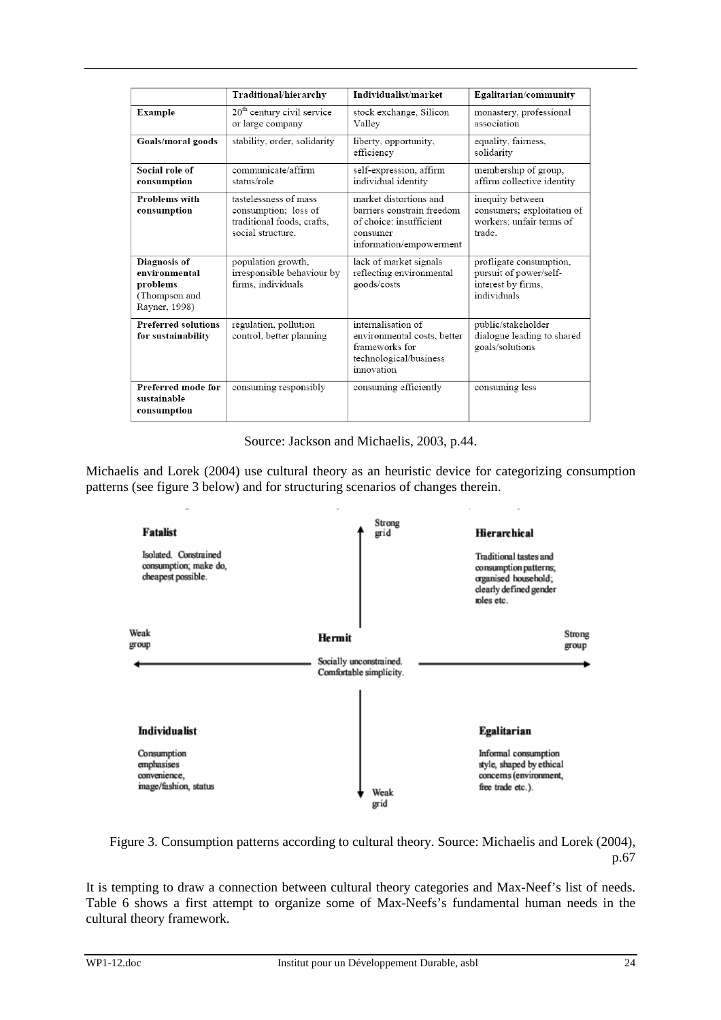|                                                                             | Traditional/hierarchy                                                                            | Individualist/market                                                                                                   | Egalitarian/community                                                                  |
|-----------------------------------------------------------------------------|--------------------------------------------------------------------------------------------------|------------------------------------------------------------------------------------------------------------------------|----------------------------------------------------------------------------------------|
| Example                                                                     | 20 <sup>th</sup> century civil service<br>or large company                                       | stock exchange, Silicon<br>Valley                                                                                      | monastery, professional<br>association                                                 |
| Goals/moral goods                                                           | stability, order, solidarity                                                                     | liberty, opportunity,<br>efficiency                                                                                    | equality, fairness,<br>solidarity                                                      |
| Social role of<br>consumption                                               | communicate/affirm<br>status/role                                                                | self-expression, affirm<br>individual identity                                                                         | membership of group,<br>affirm collective identity                                     |
| <b>Problems</b> with<br>consumption                                         | tastelessness of mass<br>consumption; loss of<br>traditional foods, crafts,<br>social structure. | market distortions and<br>barriers constrain freedom<br>of choice: insufficient<br>consumer<br>information/empowerment | inequity between<br>consumers; exploitation of<br>workers: unfair terms of<br>trade    |
| Diagnosis of<br>environmental<br>problems<br>(Thompson and<br>Rayner, 1998) | population growth,<br>irresponsible behaviour by<br>firms, individuals                           | lack of market signals<br>reflecting environmental<br>goods/costs                                                      | profligate consumption,<br>pursuit of power/self-<br>interest by firms.<br>individuals |
| <b>Preferred solutions</b><br>for sustainability                            | regulation, pollution<br>control, better planning                                                | internalisation of<br>environmental costs, better<br>frameworks for<br>technological/business<br>innovation            | public/stakeholder<br>dialogue leading to shared<br>goals/solutions                    |
| Preferred mode for<br>sustainable<br>consumption                            | consuming responsibly                                                                            | consuming efficiently                                                                                                  | consuming less                                                                         |

Source: Jackson and Michaelis, 2003, p.44.

Michaelis and Lorek (2004) use cultural theory as an heuristic device for categorizing consumption patterns (see figure 3 below) and for structuring scenarios of changes therein.



Figure 3. Consumption patterns according to cultural theory. Source: Michaelis and Lorek (2004), p.67

It is tempting to draw a connection between cultural theory categories and Max-Neef's list of needs. Table 6 shows a first attempt to organize some of Max-Neefs's fundamental human needs in the cultural theory framework.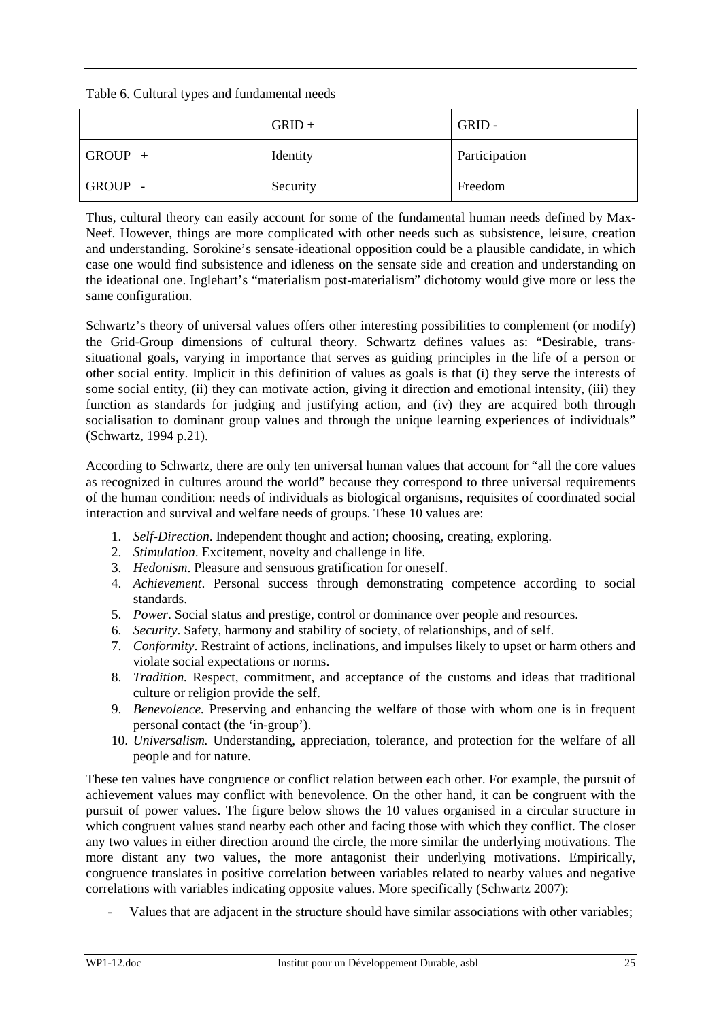Table 6. Cultural types and fundamental needs

|           | $GRID +$ | GRID-         |
|-----------|----------|---------------|
| $GROUP +$ | Identity | Participation |
| GROUP -   | Security | Freedom       |

Thus, cultural theory can easily account for some of the fundamental human needs defined by Max-Neef. However, things are more complicated with other needs such as subsistence, leisure, creation and understanding. Sorokine's sensate-ideational opposition could be a plausible candidate, in which case one would find subsistence and idleness on the sensate side and creation and understanding on the ideational one. Inglehart's "materialism post-materialism" dichotomy would give more or less the same configuration.

Schwartz's theory of universal values offers other interesting possibilities to complement (or modify) the Grid-Group dimensions of cultural theory. Schwartz defines values as: "Desirable, transsituational goals, varying in importance that serves as guiding principles in the life of a person or other social entity. Implicit in this definition of values as goals is that (i) they serve the interests of some social entity, (ii) they can motivate action, giving it direction and emotional intensity, (iii) they function as standards for judging and justifying action, and (iv) they are acquired both through socialisation to dominant group values and through the unique learning experiences of individuals" (Schwartz, 1994 p.21).

According to Schwartz, there are only ten universal human values that account for "all the core values as recognized in cultures around the world" because they correspond to three universal requirements of the human condition: needs of individuals as biological organisms, requisites of coordinated social interaction and survival and welfare needs of groups. These 10 values are:

- 1. *Self-Direction*. Independent thought and action; choosing, creating, exploring.
- 2. *Stimulation*. Excitement, novelty and challenge in life.
- 3. *Hedonism*. Pleasure and sensuous gratification for oneself.
- 4. *Achievement*. Personal success through demonstrating competence according to social standards.
- 5. *Power*. Social status and prestige, control or dominance over people and resources.
- 6. *Security*. Safety, harmony and stability of society, of relationships, and of self.
- 7. *Conformity*. Restraint of actions, inclinations, and impulses likely to upset or harm others and violate social expectations or norms.
- 8. *Tradition.* Respect, commitment, and acceptance of the customs and ideas that traditional culture or religion provide the self.
- 9. *Benevolence.* Preserving and enhancing the welfare of those with whom one is in frequent personal contact (the 'in-group').
- 10. *Universalism.* Understanding, appreciation, tolerance, and protection for the welfare of all people and for nature.

These ten values have congruence or conflict relation between each other. For example, the pursuit of achievement values may conflict with benevolence. On the other hand, it can be congruent with the pursuit of power values. The figure below shows the 10 values organised in a circular structure in which congruent values stand nearby each other and facing those with which they conflict. The closer any two values in either direction around the circle, the more similar the underlying motivations. The more distant any two values, the more antagonist their underlying motivations. Empirically, congruence translates in positive correlation between variables related to nearby values and negative correlations with variables indicating opposite values. More specifically (Schwartz 2007):

Values that are adjacent in the structure should have similar associations with other variables;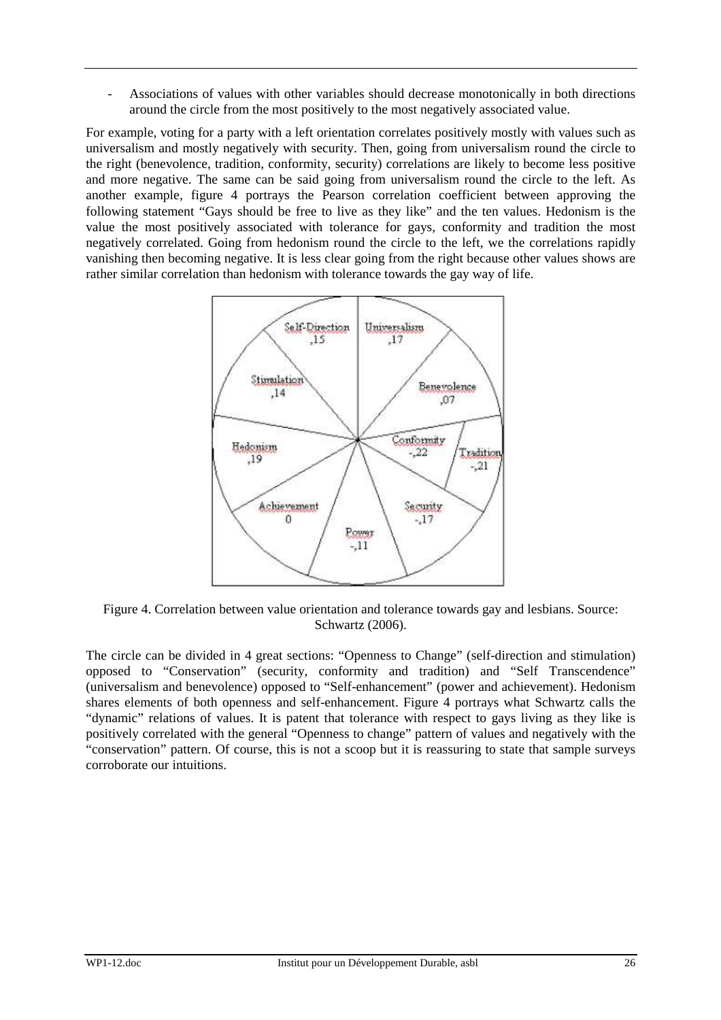Associations of values with other variables should decrease monotonically in both directions around the circle from the most positively to the most negatively associated value.

For example, voting for a party with a left orientation correlates positively mostly with values such as universalism and mostly negatively with security. Then, going from universalism round the circle to the right (benevolence, tradition, conformity, security) correlations are likely to become less positive and more negative. The same can be said going from universalism round the circle to the left. As another example, figure 4 portrays the Pearson correlation coefficient between approving the following statement "Gays should be free to live as they like" and the ten values. Hedonism is the value the most positively associated with tolerance for gays, conformity and tradition the most negatively correlated. Going from hedonism round the circle to the left, we the correlations rapidly vanishing then becoming negative. It is less clear going from the right because other values shows are rather similar correlation than hedonism with tolerance towards the gay way of life.



Figure 4. Correlation between value orientation and tolerance towards gay and lesbians. Source: Schwartz (2006).

The circle can be divided in 4 great sections: "Openness to Change" (self-direction and stimulation) opposed to "Conservation" (security, conformity and tradition) and "Self Transcendence" (universalism and benevolence) opposed to "Self-enhancement" (power and achievement). Hedonism shares elements of both openness and self-enhancement. Figure 4 portrays what Schwartz calls the "dynamic" relations of values. It is patent that tolerance with respect to gays living as they like is positively correlated with the general "Openness to change" pattern of values and negatively with the "conservation" pattern. Of course, this is not a scoop but it is reassuring to state that sample surveys corroborate our intuitions.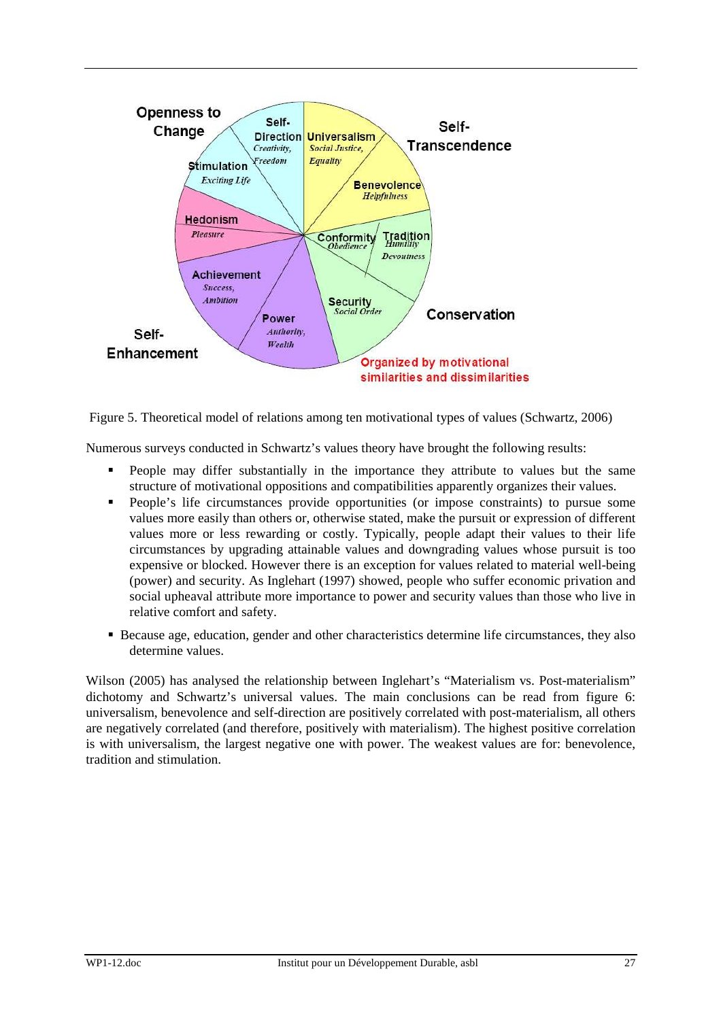

Figure 5. Theoretical model of relations among ten motivational types of values (Schwartz, 2006)

Numerous surveys conducted in Schwartz's values theory have brought the following results:

- **People may differ substantially in the importance they attribute to values but the same** structure of motivational oppositions and compatibilities apparently organizes their values.
- People's life circumstances provide opportunities (or impose constraints) to pursue some values more easily than others or, otherwise stated, make the pursuit or expression of different values more or less rewarding or costly. Typically, people adapt their values to their life circumstances by upgrading attainable values and downgrading values whose pursuit is too expensive or blocked. However there is an exception for values related to material well-being (power) and security. As Inglehart (1997) showed, people who suffer economic privation and social upheaval attribute more importance to power and security values than those who live in relative comfort and safety.
- Because age, education, gender and other characteristics determine life circumstances, they also determine values.

Wilson (2005) has analysed the relationship between Inglehart's "Materialism vs. Post-materialism" dichotomy and Schwartz's universal values. The main conclusions can be read from figure 6: universalism, benevolence and self-direction are positively correlated with post-materialism, all others are negatively correlated (and therefore, positively with materialism). The highest positive correlation is with universalism, the largest negative one with power. The weakest values are for: benevolence, tradition and stimulation.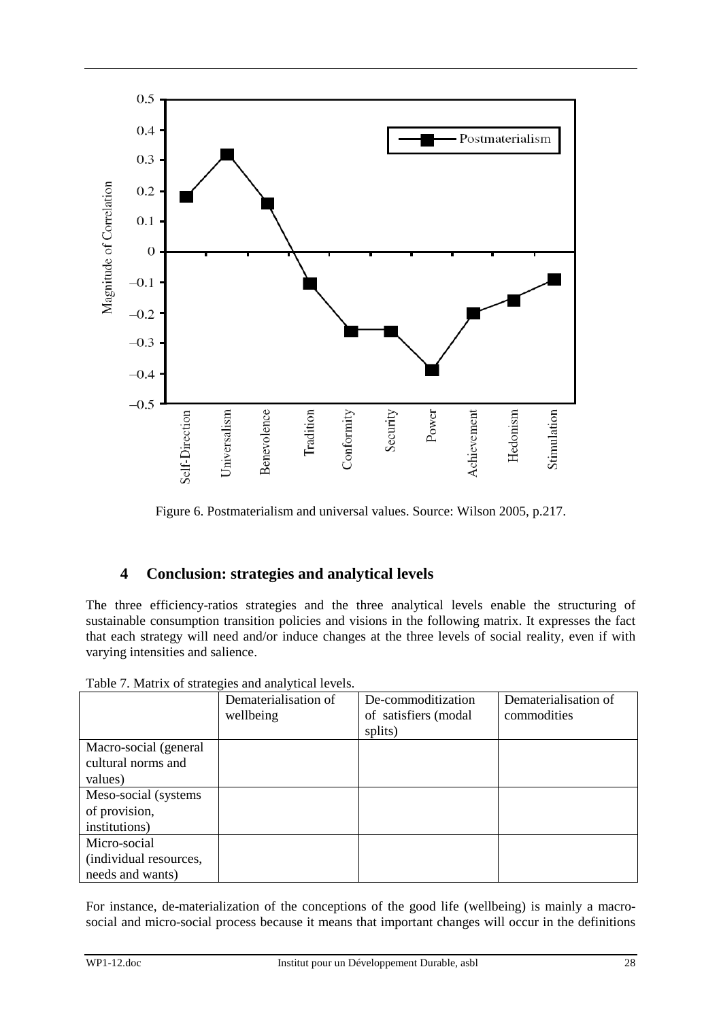

Figure 6. Postmaterialism and universal values. Source: Wilson 2005, p.217.

## **4 Conclusion: strategies and analytical levels**

The three efficiency-ratios strategies and the three analytical levels enable the structuring of sustainable consumption transition policies and visions in the following matrix. It expresses the fact that each strategy will need and/or induce changes at the three levels of social reality, even if with varying intensities and salience.

|                        | Dematerialisation of | De-commoditization   | Dematerialisation of |
|------------------------|----------------------|----------------------|----------------------|
|                        | wellbeing            | of satisfiers (modal | commodities          |
|                        |                      | splits)              |                      |
| Macro-social (general  |                      |                      |                      |
| cultural norms and     |                      |                      |                      |
| values)                |                      |                      |                      |
| Meso-social (systems)  |                      |                      |                      |
| of provision,          |                      |                      |                      |
| institutions)          |                      |                      |                      |
| Micro-social           |                      |                      |                      |
| (individual resources, |                      |                      |                      |
| needs and wants)       |                      |                      |                      |

Table 7. Matrix of strategies and analytical levels.

For instance, de-materialization of the conceptions of the good life (wellbeing) is mainly a macrosocial and micro-social process because it means that important changes will occur in the definitions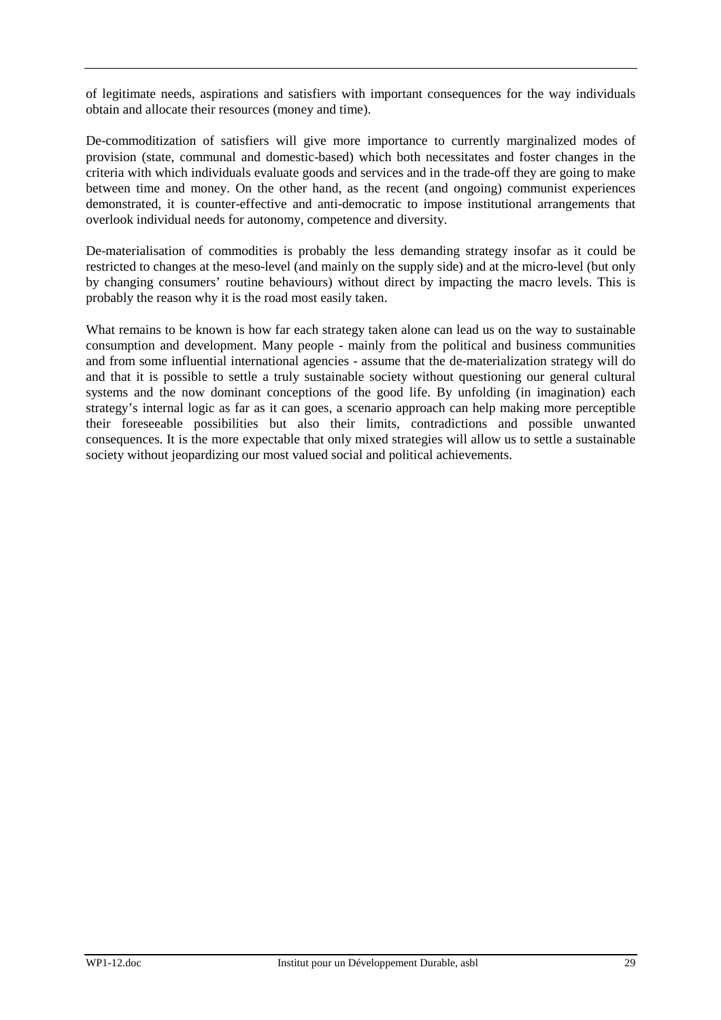of legitimate needs, aspirations and satisfiers with important consequences for the way individuals obtain and allocate their resources (money and time).

De-commoditization of satisfiers will give more importance to currently marginalized modes of provision (state, communal and domestic-based) which both necessitates and foster changes in the criteria with which individuals evaluate goods and services and in the trade-off they are going to make between time and money. On the other hand, as the recent (and ongoing) communist experiences demonstrated, it is counter-effective and anti-democratic to impose institutional arrangements that overlook individual needs for autonomy, competence and diversity.

De-materialisation of commodities is probably the less demanding strategy insofar as it could be restricted to changes at the meso-level (and mainly on the supply side) and at the micro-level (but only by changing consumers' routine behaviours) without direct by impacting the macro levels. This is probably the reason why it is the road most easily taken.

What remains to be known is how far each strategy taken alone can lead us on the way to sustainable consumption and development. Many people - mainly from the political and business communities and from some influential international agencies - assume that the de-materialization strategy will do and that it is possible to settle a truly sustainable society without questioning our general cultural systems and the now dominant conceptions of the good life. By unfolding (in imagination) each strategy's internal logic as far as it can goes, a scenario approach can help making more perceptible their foreseeable possibilities but also their limits, contradictions and possible unwanted consequences. It is the more expectable that only mixed strategies will allow us to settle a sustainable society without jeopardizing our most valued social and political achievements.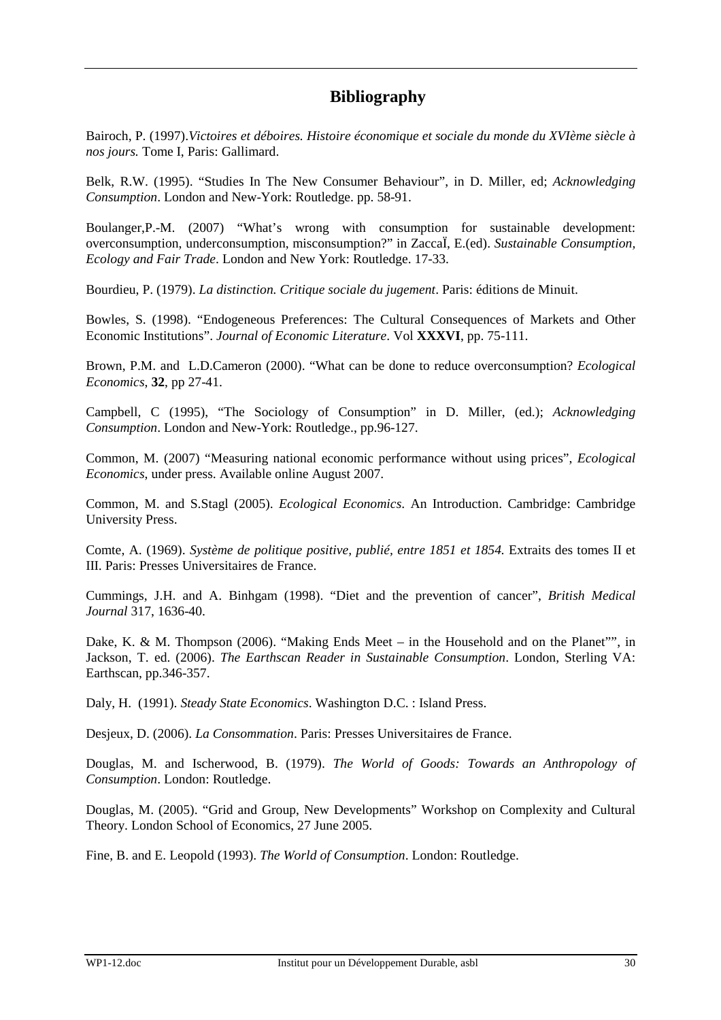# **Bibliography**

Bairoch, P. (1997).*Victoires et déboires. Histoire économique et sociale du monde du XVIème siècle à nos jours.* Tome I, Paris: Gallimard.

Belk, R.W. (1995). "Studies In The New Consumer Behaviour", in D. Miller, ed; *Acknowledging Consumption*. London and New-York: Routledge. pp. 58-91.

Boulanger,P.-M. (2007) "What's wrong with consumption for sustainable development: overconsumption, underconsumption, misconsumption?" in ZaccaÏ, E.(ed). *Sustainable Consumption, Ecology and Fair Trade*. London and New York: Routledge. 17-33.

Bourdieu, P. (1979). *La distinction. Critique sociale du jugement*. Paris: éditions de Minuit.

Bowles, S. (1998). "Endogeneous Preferences: The Cultural Consequences of Markets and Other Economic Institutions". *Journal of Economic Literature*. Vol **XXXVI**, pp. 75-111.

Brown, P.M. and L.D.Cameron (2000). "What can be done to reduce overconsumption? *Ecological Economics*, **32**, pp 27-41.

Campbell, C (1995), "The Sociology of Consumption" in D. Miller, (ed.); *Acknowledging Consumption*. London and New-York: Routledge., pp.96-127.

Common, M. (2007) "Measuring national economic performance without using prices", *Ecological Economics*, under press. Available online August 2007.

Common, M. and S.Stagl (2005). *Ecological Economics*. An Introduction. Cambridge: Cambridge University Press.

Comte, A. (1969). *Système de politique positive, publié, entre 1851 et 1854.* Extraits des tomes II et III. Paris: Presses Universitaires de France.

Cummings, J.H. and A. Binhgam (1998). "Diet and the prevention of cancer", *British Medical Journal* 317, 1636-40.

Dake, K. & M. Thompson (2006). "Making Ends Meet – in the Household and on the Planet"", in Jackson, T. ed. (2006). *The Earthscan Reader in Sustainable Consumption*. London, Sterling VA: Earthscan, pp.346-357.

Daly, H. (1991). *Steady State Economics*. Washington D.C. : Island Press.

Desjeux, D. (2006). *La Consommation*. Paris: Presses Universitaires de France.

Douglas, M. and Ischerwood, B. (1979). *The World of Goods: Towards an Anthropology of Consumption*. London: Routledge.

Douglas, M. (2005). "Grid and Group, New Developments" Workshop on Complexity and Cultural Theory. London School of Economics, 27 June 2005.

Fine, B. and E. Leopold (1993). *The World of Consumption*. London: Routledge.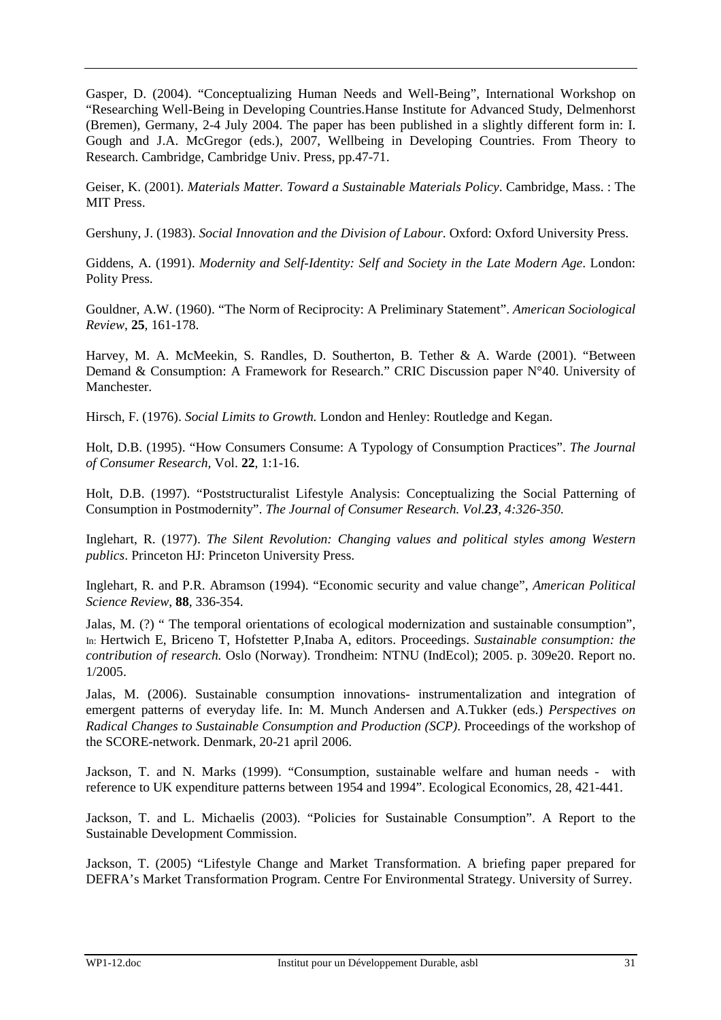Gasper, D. (2004). "Conceptualizing Human Needs and Well-Being", International Workshop on "Researching Well-Being in Developing Countries.Hanse Institute for Advanced Study, Delmenhorst (Bremen), Germany, 2-4 July 2004. The paper has been published in a slightly different form in: I. Gough and J.A. McGregor (eds.), 2007, Wellbeing in Developing Countries. From Theory to Research. Cambridge, Cambridge Univ. Press, pp.47-71.

Geiser, K. (2001). *Materials Matter. Toward a Sustainable Materials Policy*. Cambridge, Mass. : The MIT Press.

Gershuny, J. (1983). *Social Innovation and the Division of Labour*. Oxford: Oxford University Press.

Giddens, A. (1991). *Modernity and Self-Identity: Self and Society in the Late Modern Age*. London: Polity Press.

Gouldner, A.W. (1960). "The Norm of Reciprocity: A Preliminary Statement". *American Sociological Review*, **25**, 161-178.

Harvey, M. A. McMeekin, S. Randles, D. Southerton, B. Tether & A. Warde (2001). "Between Demand & Consumption: A Framework for Research." CRIC Discussion paper N°40. University of Manchester.

Hirsch, F. (1976). *Social Limits to Growth.* London and Henley: Routledge and Kegan.

Holt, D.B. (1995). "How Consumers Consume: A Typology of Consumption Practices". *The Journal of Consumer Research,* Vol. **22**, 1:1-16.

Holt, D.B. (1997). "Poststructuralist Lifestyle Analysis: Conceptualizing the Social Patterning of Consumption in Postmodernity". *The Journal of Consumer Research. Vol.23, 4:326-350.* 

Inglehart, R. (1977). *The Silent Revolution: Changing values and political styles among Western publics*. Princeton HJ: Princeton University Press.

Inglehart, R. and P.R. Abramson (1994). "Economic security and value change", *American Political Science Review*, **88**, 336-354.

Jalas, M. (?) " The temporal orientations of ecological modernization and sustainable consumption", In: Hertwich E, Briceno T, Hofstetter P,Inaba A, editors. Proceedings. *Sustainable consumption: the contribution of research.* Oslo (Norway). Trondheim: NTNU (IndEcol); 2005. p. 309e20. Report no. 1/2005.

Jalas, M. (2006). Sustainable consumption innovations- instrumentalization and integration of emergent patterns of everyday life. In: M. Munch Andersen and A.Tukker (eds.) *Perspectives on Radical Changes to Sustainable Consumption and Production (SCP)*. Proceedings of the workshop of the SCORE-network. Denmark, 20-21 april 2006.

Jackson, T. and N. Marks (1999). "Consumption, sustainable welfare and human needs - with reference to UK expenditure patterns between 1954 and 1994". Ecological Economics, 28, 421-441.

Jackson, T. and L. Michaelis (2003). "Policies for Sustainable Consumption". A Report to the Sustainable Development Commission.

Jackson, T. (2005) "Lifestyle Change and Market Transformation. A briefing paper prepared for DEFRA's Market Transformation Program. Centre For Environmental Strategy. University of Surrey.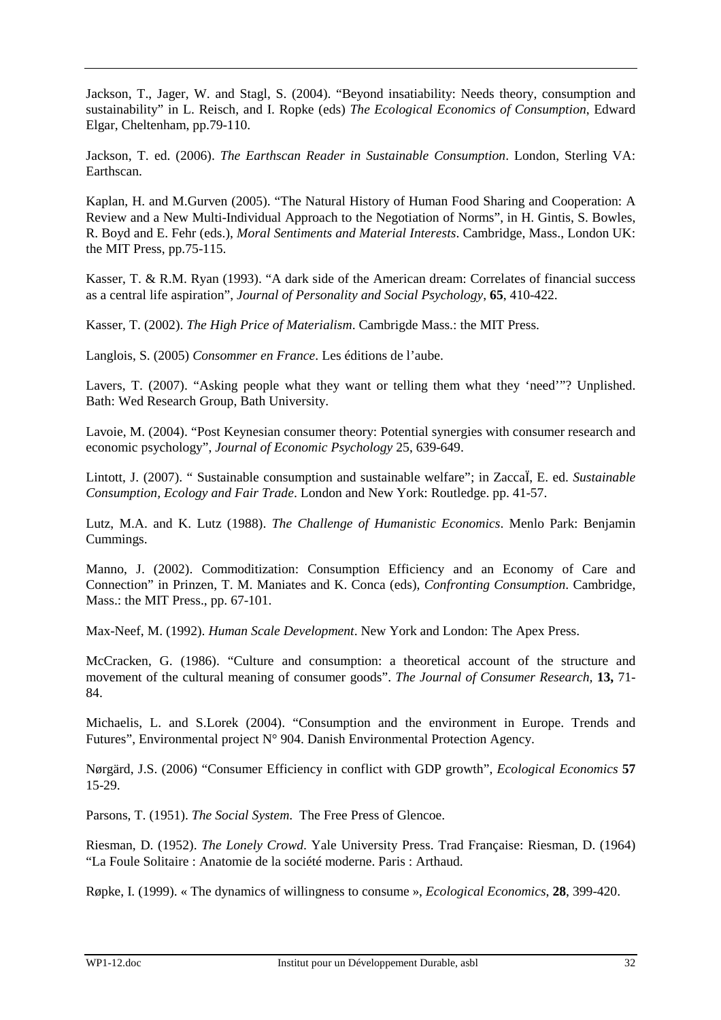Jackson, T., Jager, W. and Stagl, S. (2004). "Beyond insatiability: Needs theory, consumption and sustainability" in L. Reisch, and I. Ropke (eds) *The Ecological Economics of Consumption*, Edward Elgar, Cheltenham, pp.79-110.

Jackson, T. ed. (2006). *The Earthscan Reader in Sustainable Consumption*. London, Sterling VA: Earthscan.

Kaplan, H. and M.Gurven (2005). "The Natural History of Human Food Sharing and Cooperation: A Review and a New Multi-Individual Approach to the Negotiation of Norms", in H. Gintis, S. Bowles, R. Boyd and E. Fehr (eds.), *Moral Sentiments and Material Interests*. Cambridge, Mass., London UK: the MIT Press, pp.75-115.

Kasser, T. & R.M. Ryan (1993). "A dark side of the American dream: Correlates of financial success as a central life aspiration", *Journal of Personality and Social Psychology*, **65**, 410-422.

Kasser, T. (2002). *The High Price of Materialism*. Cambrigde Mass.: the MIT Press.

Langlois, S. (2005) *Consommer en France*. Les éditions de l'aube.

Lavers, T. (2007). "Asking people what they want or telling them what they 'need'"? Unplished. Bath: Wed Research Group, Bath University.

Lavoie, M. (2004). "Post Keynesian consumer theory: Potential synergies with consumer research and economic psychology", *Journal of Economic Psychology* 25, 639-649.

Lintott, J. (2007). " Sustainable consumption and sustainable welfare"; in ZaccaÏ, E. ed. *Sustainable Consumption, Ecology and Fair Trade*. London and New York: Routledge. pp. 41-57.

Lutz, M.A. and K. Lutz (1988). *The Challenge of Humanistic Economics*. Menlo Park: Benjamin Cummings.

Manno, J. (2002). Commoditization: Consumption Efficiency and an Economy of Care and Connection" in Prinzen, T. M. Maniates and K. Conca (eds), *Confronting Consumption*. Cambridge, Mass.: the MIT Press., pp. 67-101.

Max-Neef, M. (1992). *Human Scale Development*. New York and London: The Apex Press.

McCracken, G. (1986). "Culture and consumption: a theoretical account of the structure and movement of the cultural meaning of consumer goods". *The Journal of Consumer Research,* **13,** 71- 84.

Michaelis, L. and S.Lorek (2004). "Consumption and the environment in Europe. Trends and Futures", Environmental project N° 904. Danish Environmental Protection Agency.

Nørgärd, J.S. (2006) "Consumer Efficiency in conflict with GDP growth", *Ecological Economics* **57** 15-29.

Parsons, T. (1951). *The Social System*. The Free Press of Glencoe.

Riesman, D. (1952). *The Lonely Crowd*. Yale University Press. Trad Française: Riesman, D. (1964) "La Foule Solitaire : Anatomie de la société moderne. Paris : Arthaud.

Røpke, I. (1999). « The dynamics of willingness to consume », *Ecological Economics*, **28**, 399-420.